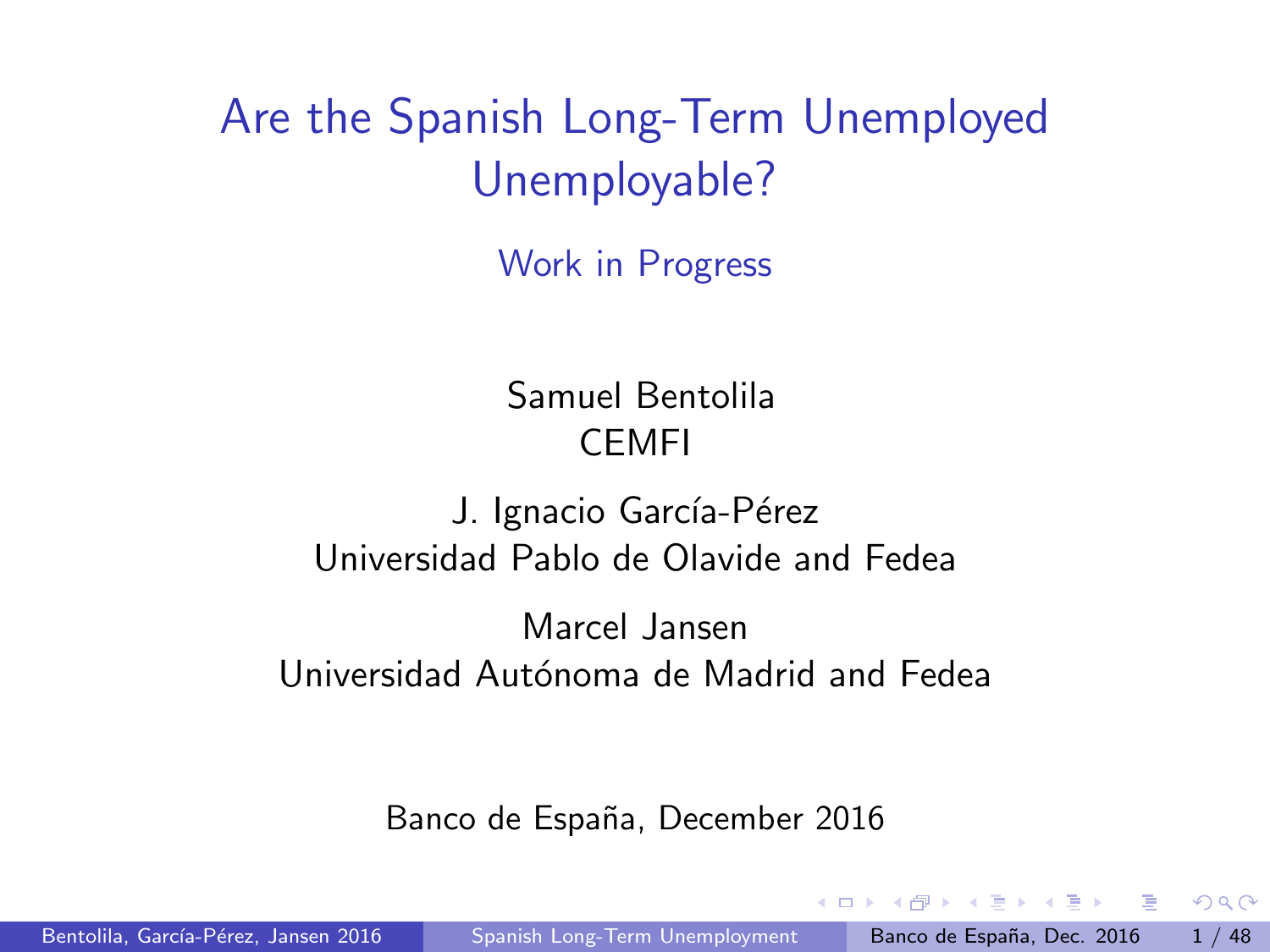# <span id="page-0-0"></span>Are the Spanish Long-Term Unemployed Unemployable?

Work in Progress

Samuel Bentolila CEMFI

J. Ignacio García-Pérez Universidad Pablo de Olavide and Fedea

Marcel Jansen Universidad Autónoma de Madrid and Fedea

Banco de España, December 2016

化重新润滑脂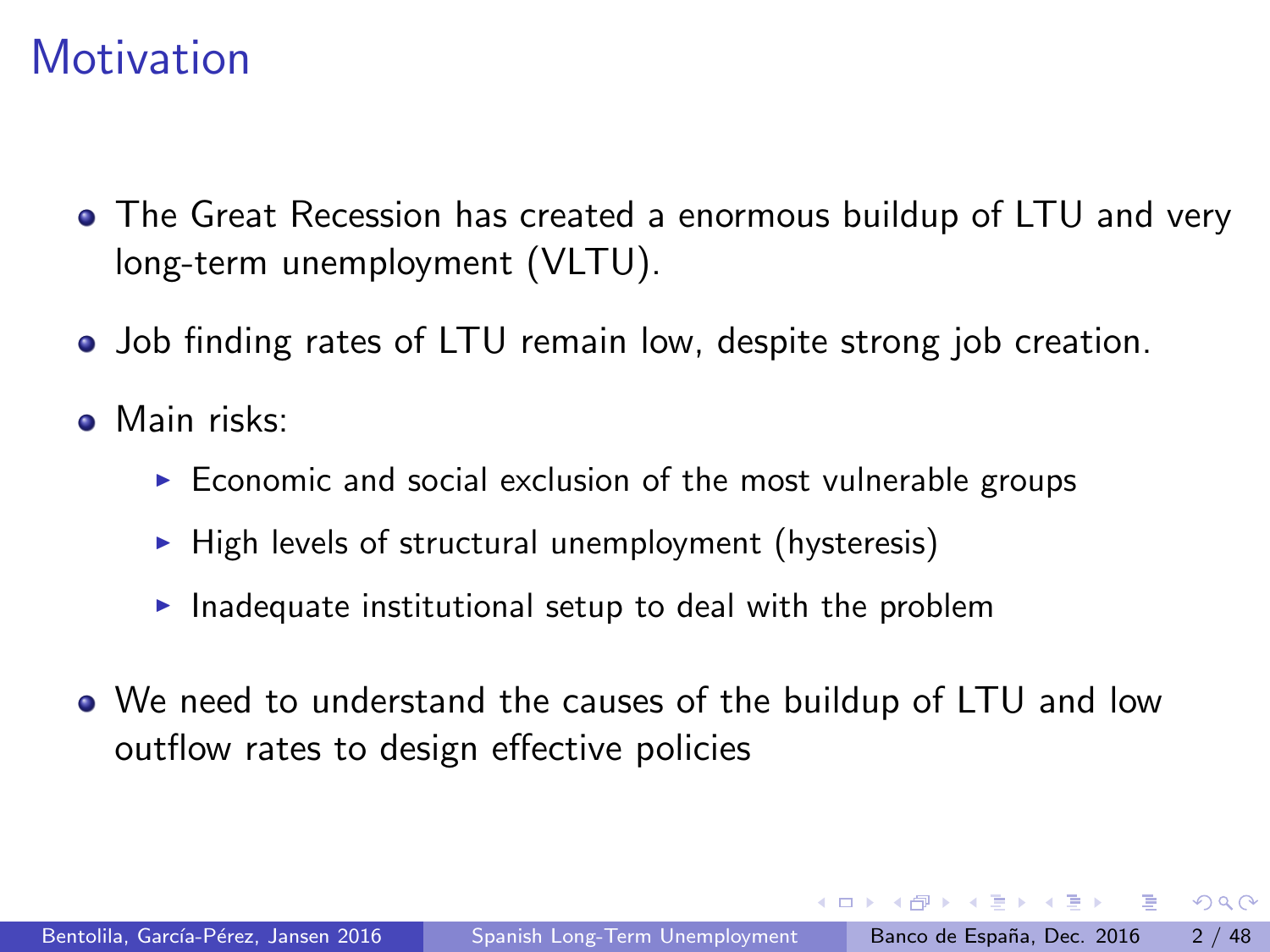## **Motivation**

- The Great Recession has created a enormous buildup of LTU and very long-term unemployment (VLTU).
- Job finding rates of LTU remain low, despite strong job creation.
- **.** Main risks:
	- $\triangleright$  Economic and social exclusion of the most vulnerable groups
	- $\triangleright$  High levels of structural unemployment (hysteresis)
	- $\blacktriangleright$  Inadequate institutional setup to deal with the problem
- We need to understand the causes of the buildup of LTU and low outflow rates to design effective policies

医单位 医单位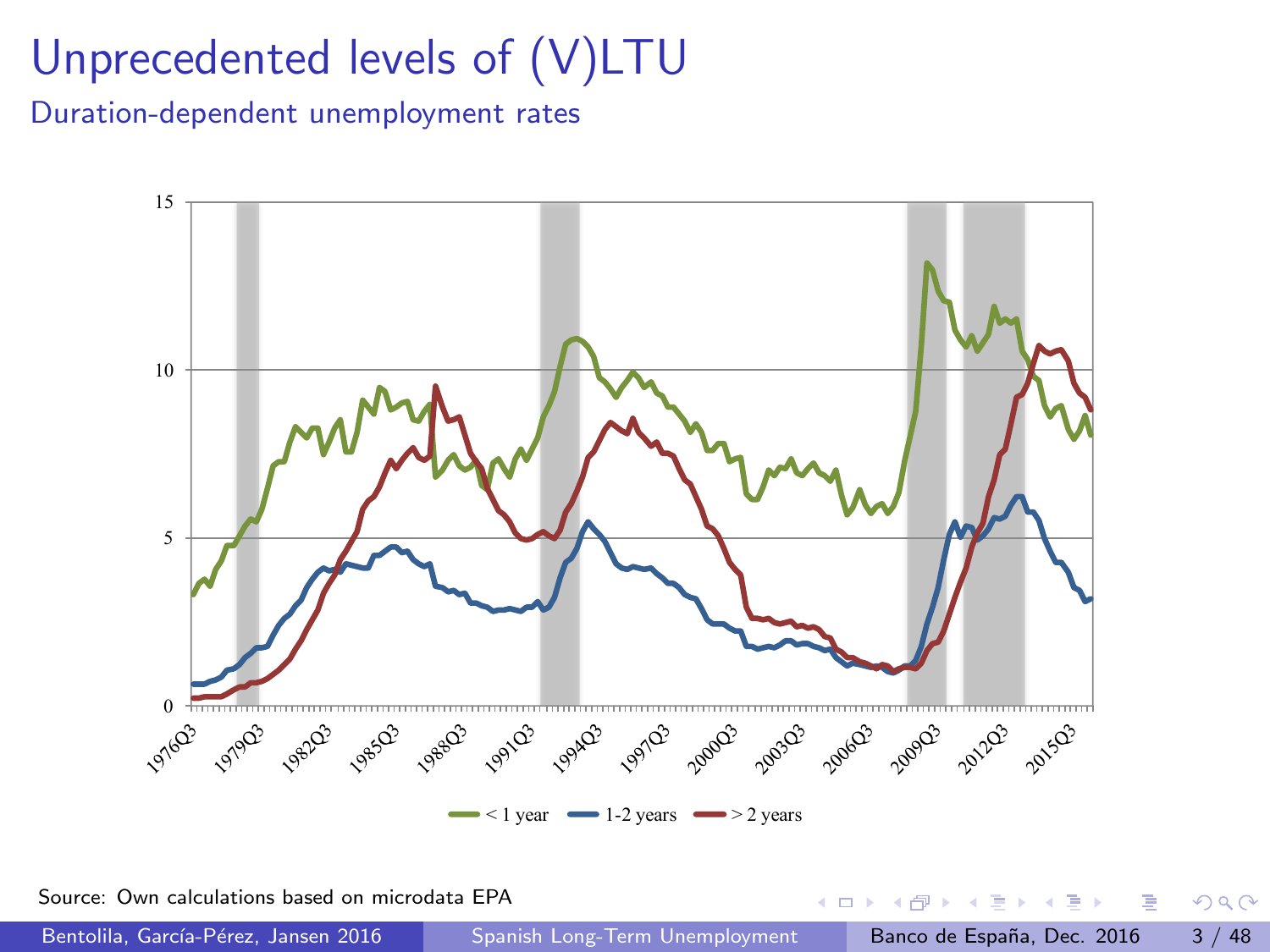# <span id="page-2-0"></span>Unprecedented levels of (V)LTU

Duration-dependent unemployment rates



Source: Own calculations based on microdata EPA

Bentolila, García-Pérez, Jansen 2016 [Spanish Long-Term Unemployment](#page-0-0) Banco de España, Dec. 2016 3 / 48

 $\sim$ 

**∢ ⊡**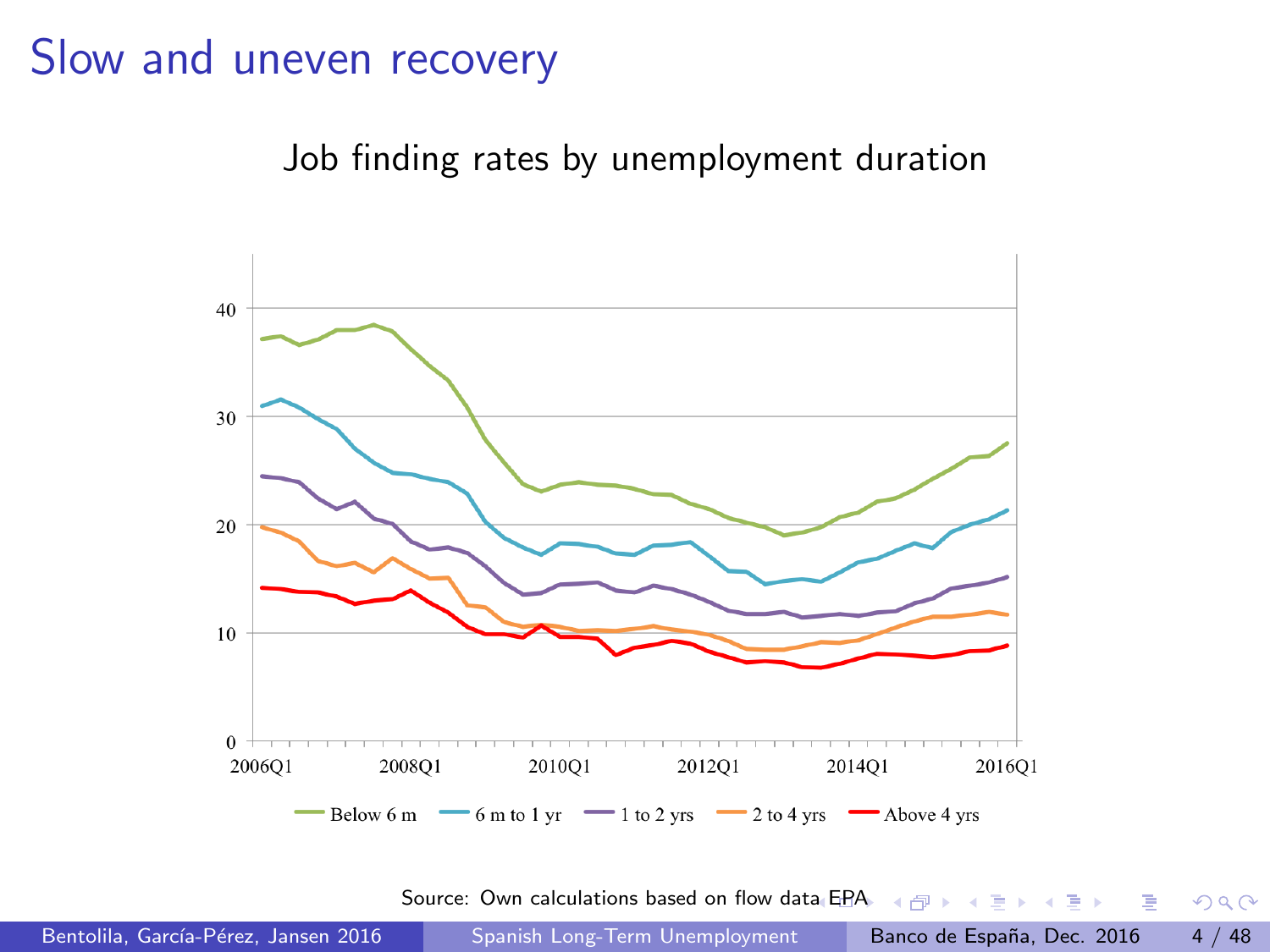#### Slow and uneven recovery

Job finding rates by unemployment duration



Source: Own calculations based on flow da[ta E](#page-2-0)P[A](#page-4-0)  $\longleftrightarrow$   $\Rightarrow$   $\Rightarrow$   $\Rightarrow$   $\Rightarrow$ 

D.

 $299$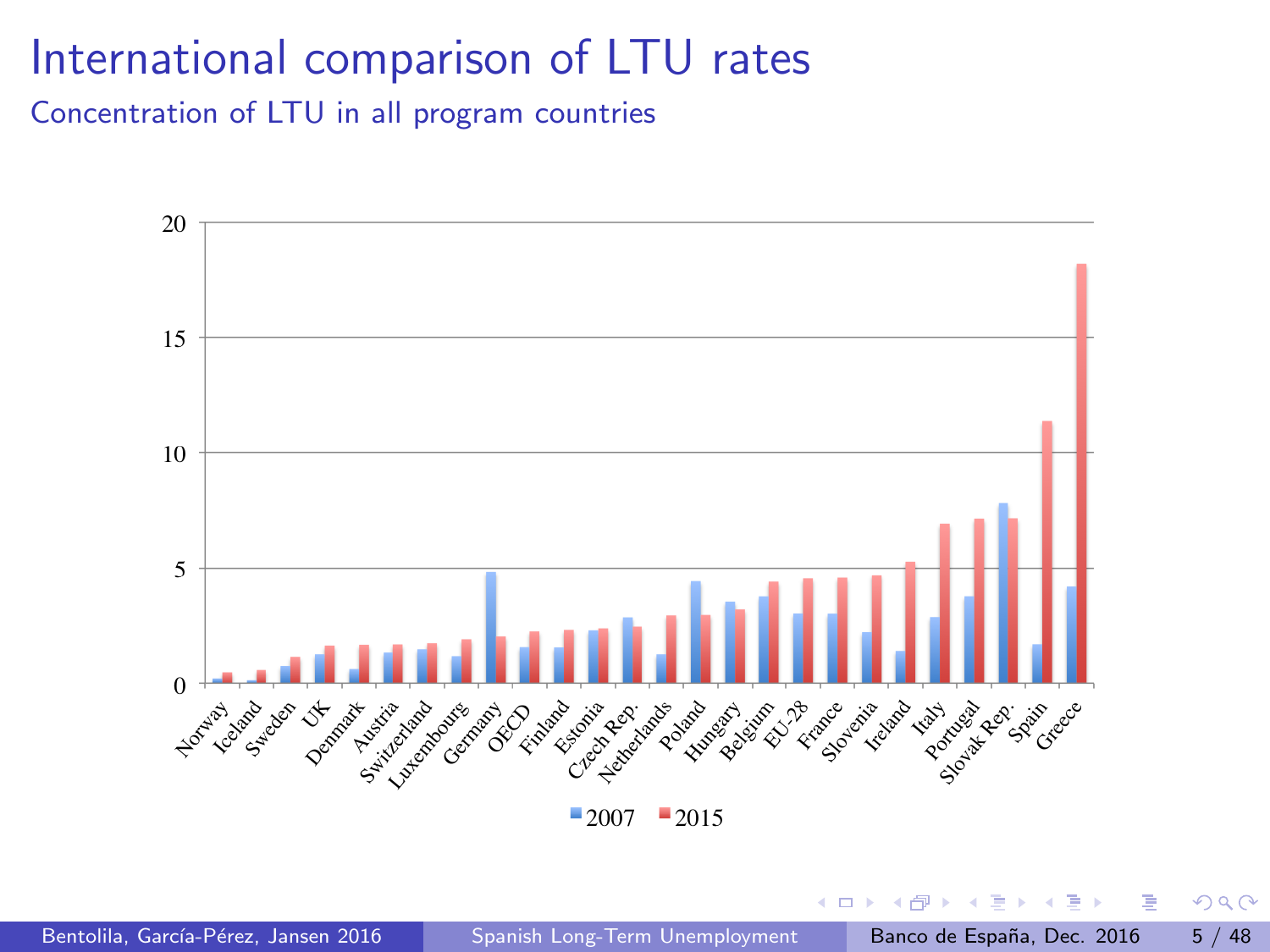## <span id="page-4-0"></span>International comparison of LTU rates

Concentration of LTU in all program countries



 $\leftarrow$ 

 $\equiv$ 

 $-4$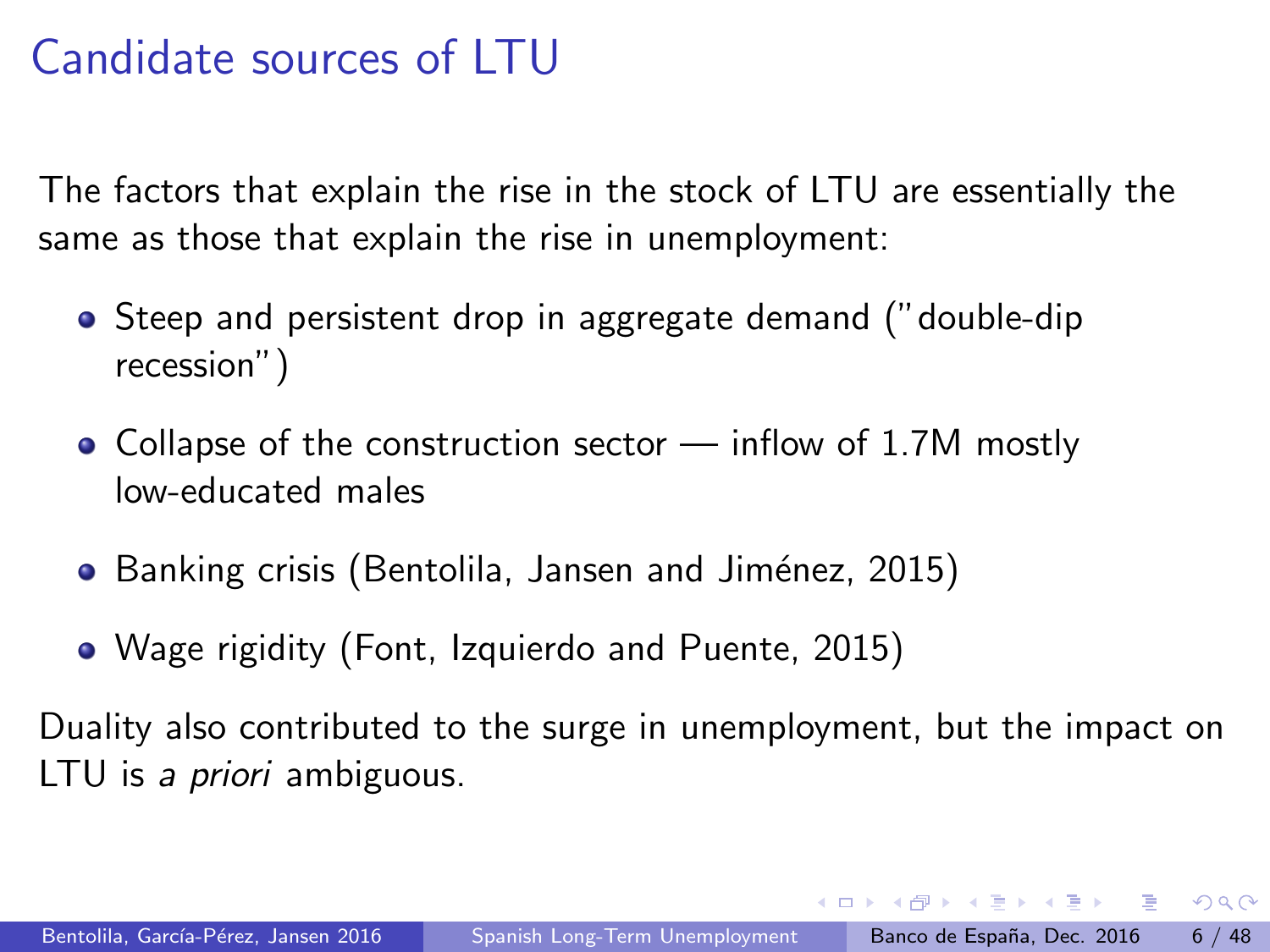## Candidate sources of LTU

The factors that explain the rise in the stock of LTU are essentially the same as those that explain the rise in unemployment:

- Steep and persistent drop in aggregate demand ("double-dip recession")
- Collapse of the construction sector  $-$  inflow of 1.7M mostly low-educated males
- Banking crisis (Bentolila, Jansen and Jiménez, 2015)
- Wage rigidity (Font, Izquierdo and Puente, 2015)

Duality also contributed to the surge in unemployment, but the impact on LTU is a *priori* ambiguous.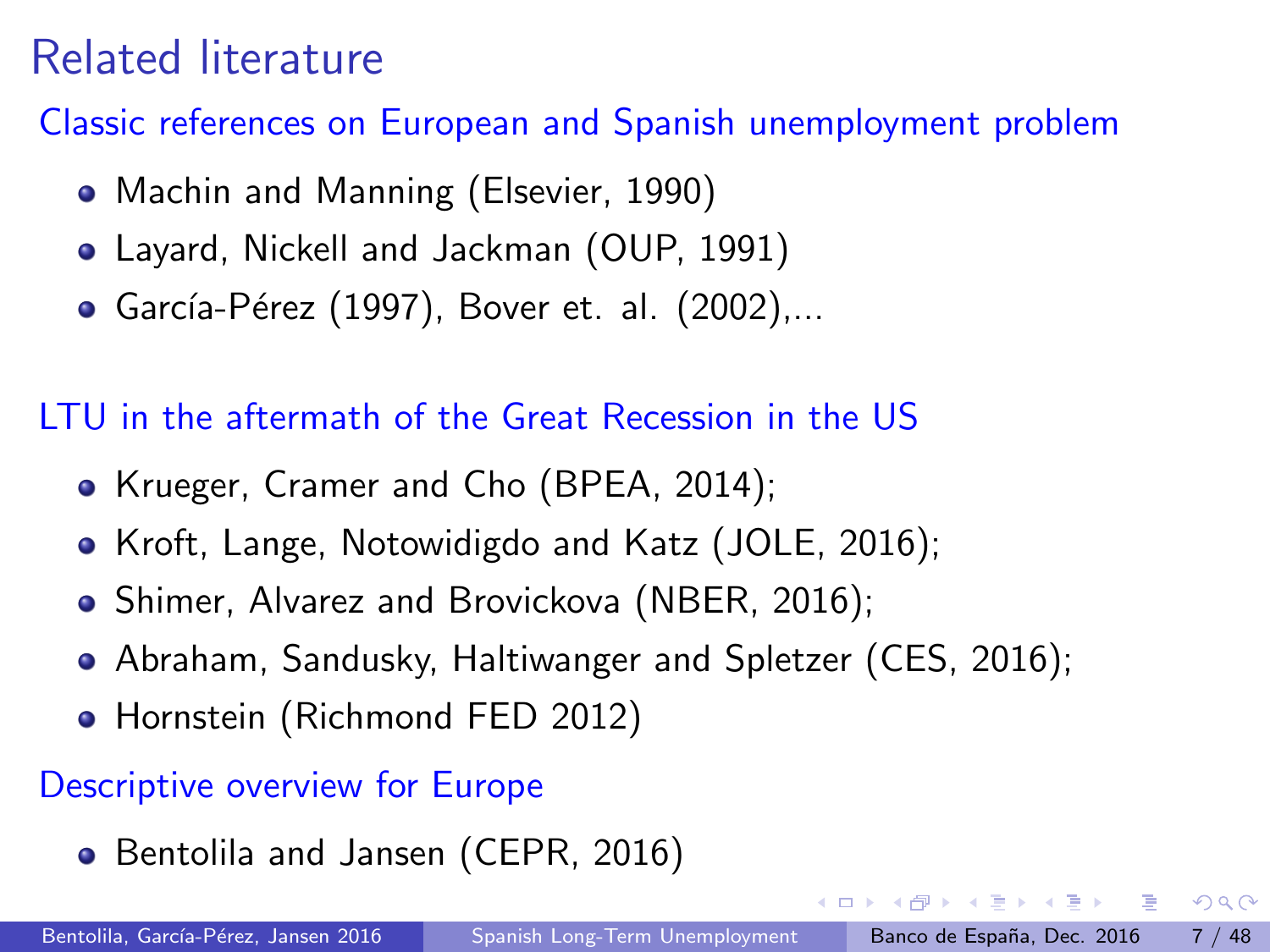## Related literature

Classic references on European and Spanish unemployment problem

- Machin and Manning (Elsevier, 1990)
- Layard, Nickell and Jackman (OUP, 1991)
- García-Pérez (1997), Bover et. al. (2002),...

LTU in the aftermath of the Great Recession in the US

- Krueger, Cramer and Cho (BPEA, 2014);
- Kroft, Lange, Notowidigdo and Katz (JOLE, 2016);
- Shimer, Alvarez and Brovickova (NBER, 2016);
- Abraham, Sandusky, Haltiwanger and Spletzer (CES, 2016);
- Hornstein (Richmond FED 2012)

#### Descriptive overview for Europe

• Bentolila and Jansen (CEPR, 2016)

4 D F

- 3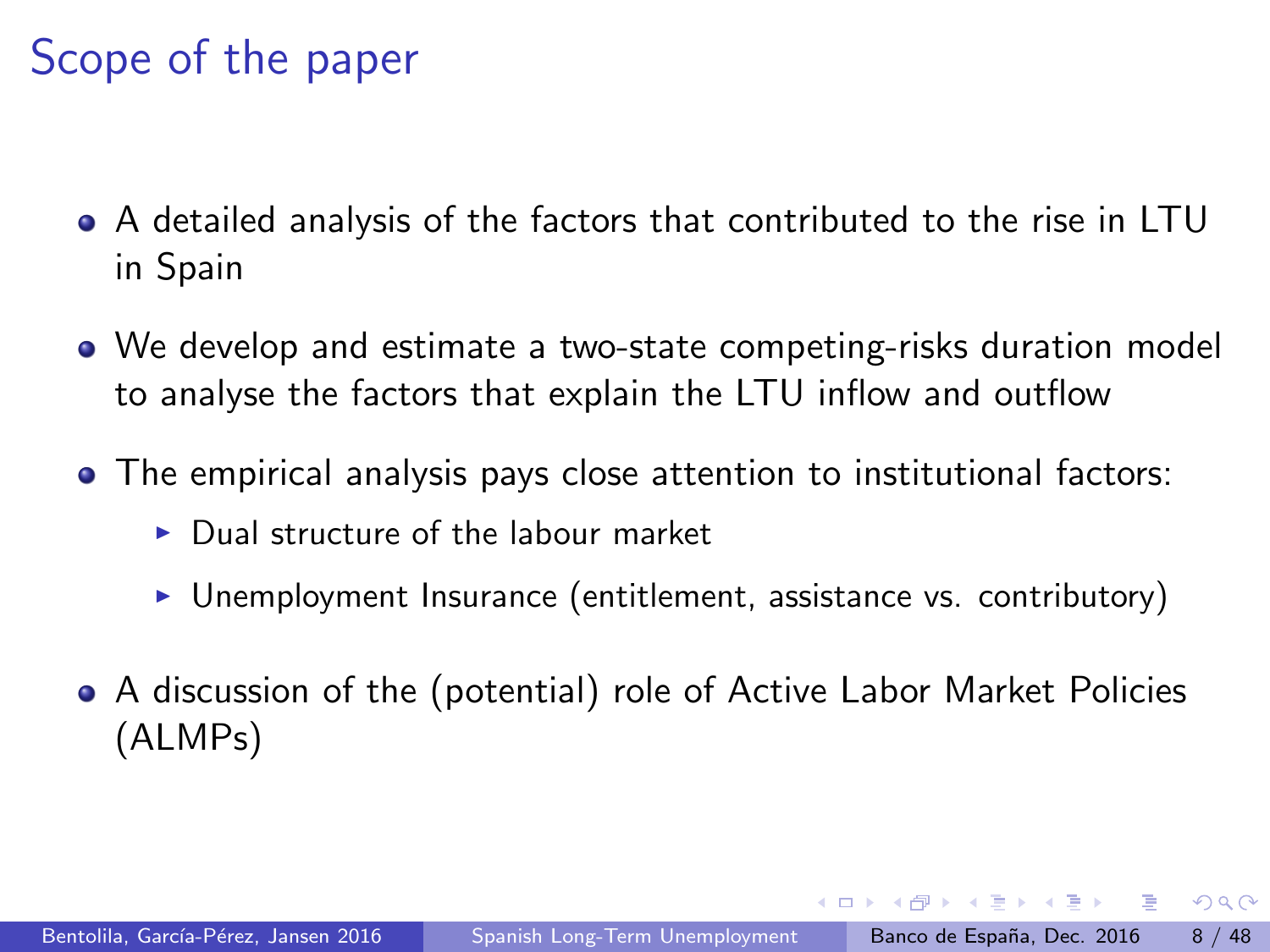## Scope of the paper

- A detailed analysis of the factors that contributed to the rise in LTU in Spain
- We develop and estimate a two-state competing-risks duration model to analyse the factors that explain the LTU inflow and outflow
- The empirical analysis pays close attention to institutional factors:
	- $\triangleright$  Dual structure of the labour market
	- $\triangleright$  Unemployment Insurance (entitlement, assistance vs. contributory)
- A discussion of the (potential) role of Active Labor Market Policies (ALMPs)

 $\Omega$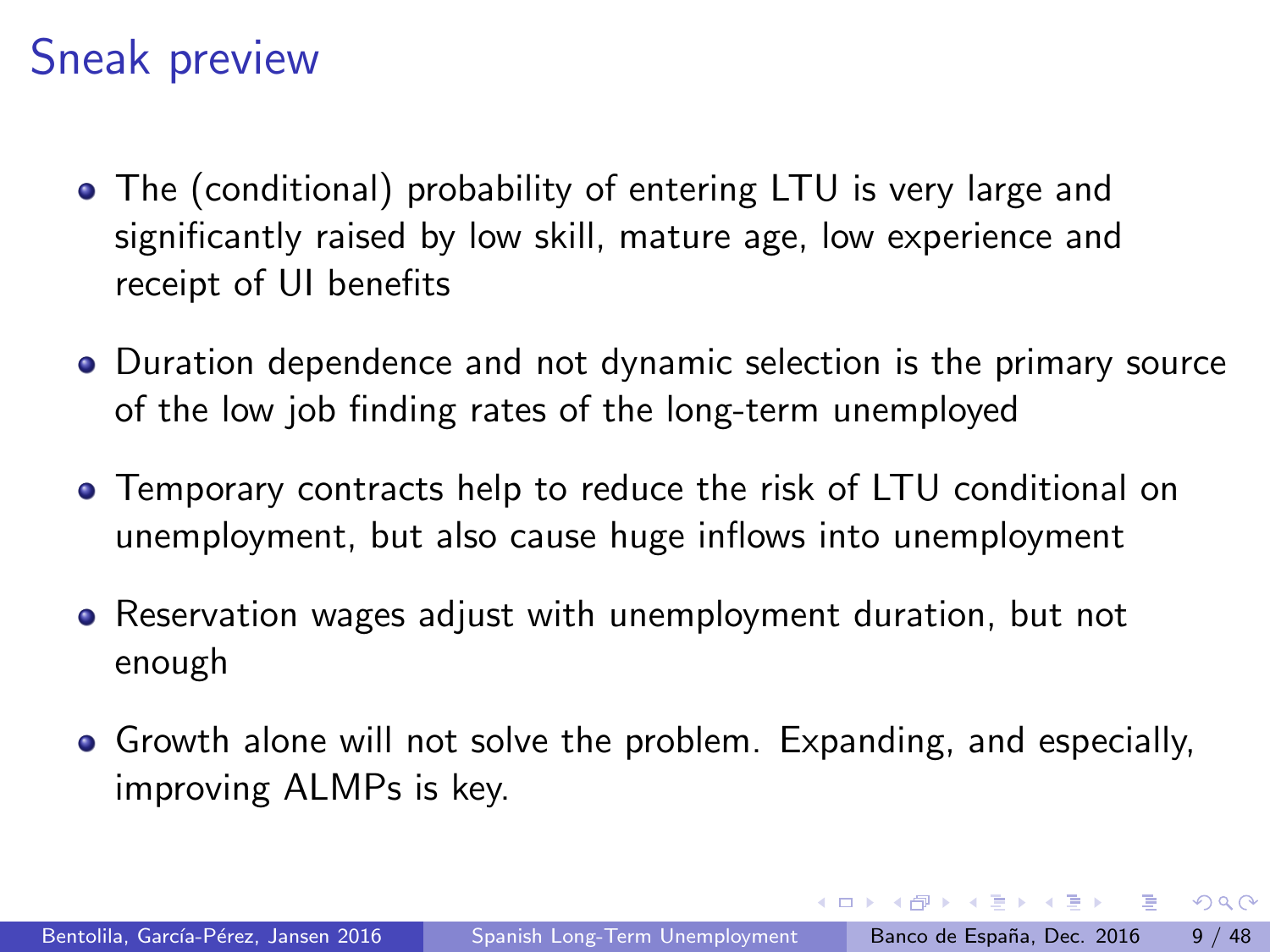## Sneak preview

- The (conditional) probability of entering LTU is very large and significantly raised by low skill, mature age, low experience and receipt of UI benefits
- Duration dependence and not dynamic selection is the primary source of the low job finding rates of the long-term unemployed
- Temporary contracts help to reduce the risk of LTU conditional on unemployment, but also cause huge inflows into unemployment
- Reservation wages adjust with unemployment duration, but not enough
- **•** Growth alone will not solve the problem. Expanding, and especially, improving ALMPs is key.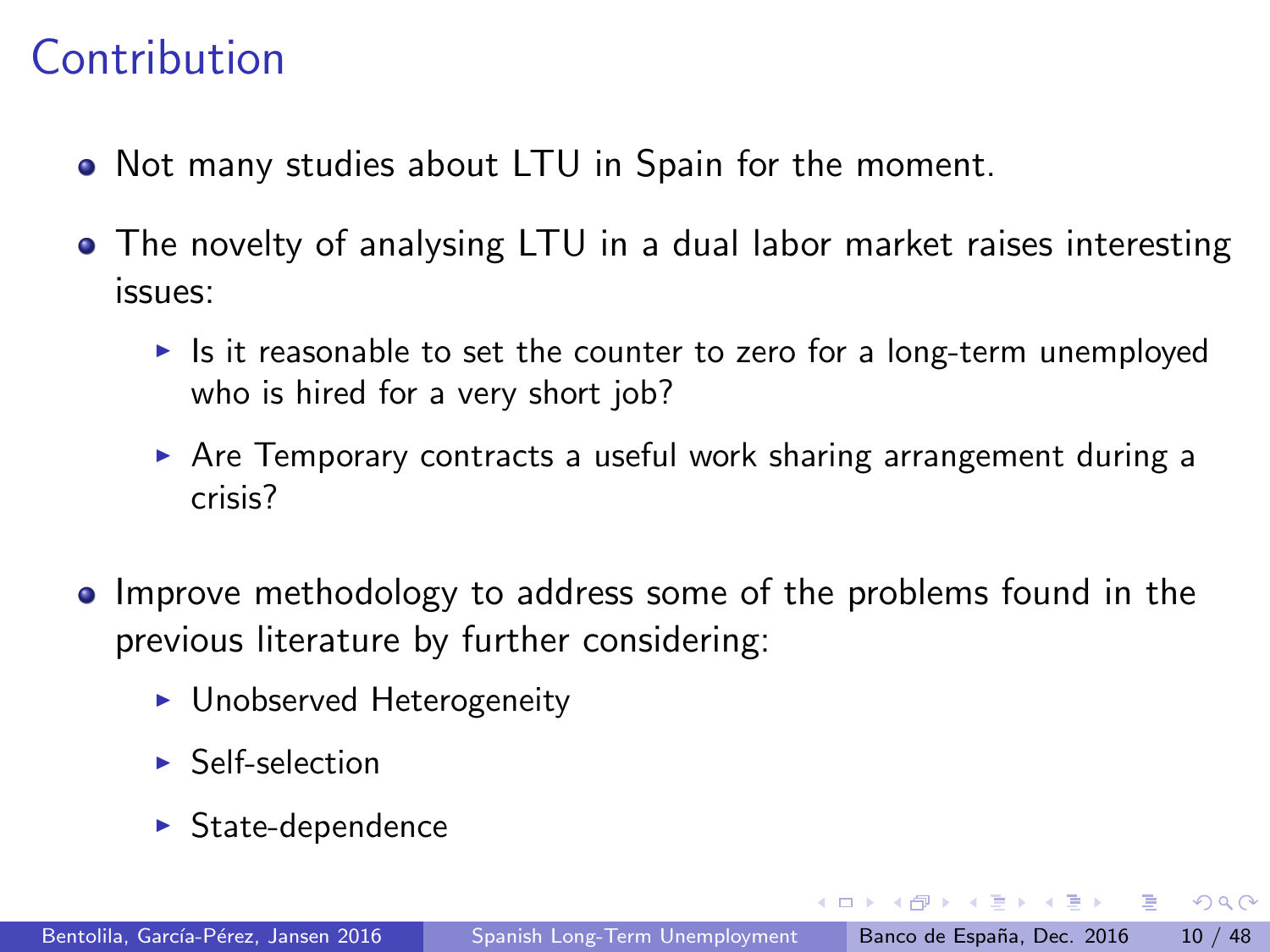## **Contribution**

- Not many studies about LTU in Spain for the moment.
- The novelty of analysing LTU in a dual labor market raises interesting issues:
	- In Is it reasonable to set the counter to zero for a long-term unemployed who is hired for a very short job?
	- $\triangleright$  Are Temporary contracts a useful work sharing arrangement during a crisis?
- Improve methodology to address some of the problems found in the previous literature by further considering:
	- $\blacktriangleright$  Unobserved Heterogeneity
	- $\blacktriangleright$  Self-selection
	- $\blacktriangleright$  State-dependence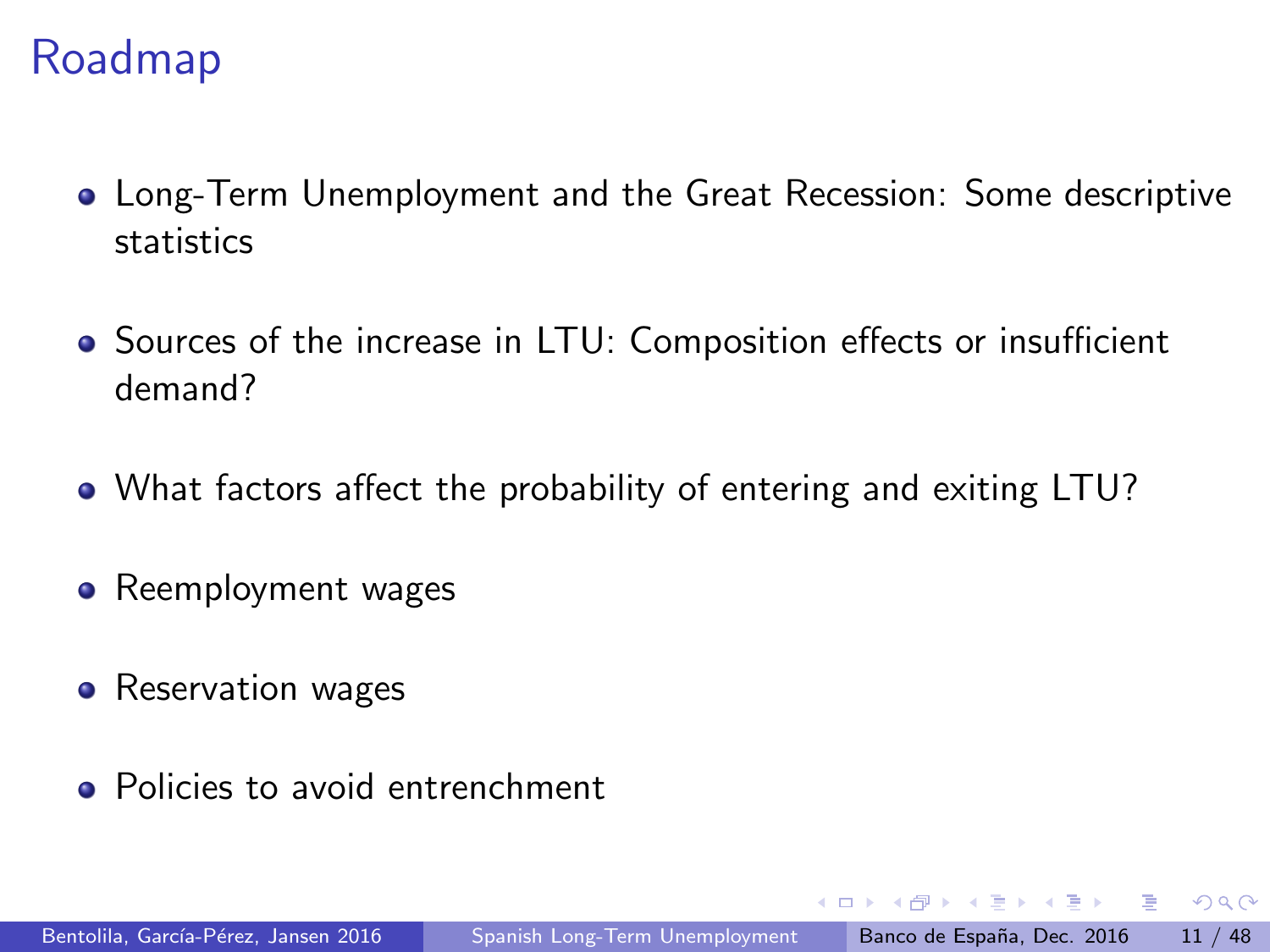### Roadmap

- Long-Term Unemployment and the Great Recession: Some descriptive statistics
- Sources of the increase in LTU: Composition effects or insufficient demand?
- What factors affect the probability of entering and exiting LTU?
- Reemployment wages
- Reservation wages
- Policies to avoid entrenchment

 $\Omega$ 

The South Truck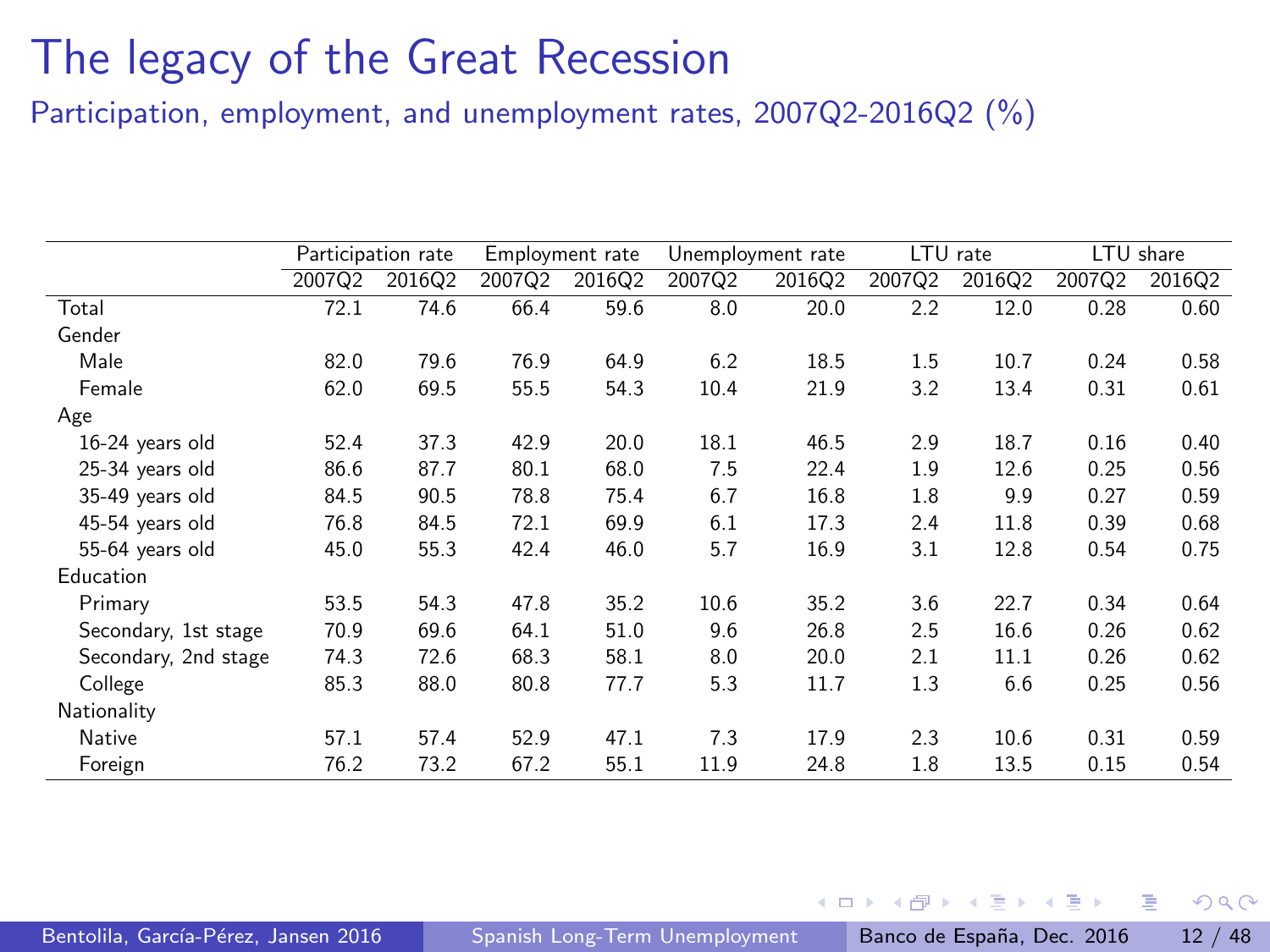Participation, employment, and unemployment rates, 2007Q2-2016Q2 (%)

|                      |        | Participation rate |        | Employment rate |        | Unemployment rate |        | LTU rate |        | LTU share |
|----------------------|--------|--------------------|--------|-----------------|--------|-------------------|--------|----------|--------|-----------|
|                      | 2007Q2 | 2016Q2             | 2007Q2 | 2016Q2          | 2007Q2 | 2016Q2            | 2007Q2 | 2016Q2   | 2007Q2 | 2016Q2    |
| Total                | 72.1   | 74.6               | 66.4   | 59.6            | 8.0    | 20.0              | 2.2    | 12.0     | 0.28   | 0.60      |
| Gender               |        |                    |        |                 |        |                   |        |          |        |           |
| Male                 | 82.0   | 79.6               | 76.9   | 64.9            | 6.2    | 18.5              | 1.5    | 10.7     | 0.24   | 0.58      |
| Female               | 62.0   | 69.5               | 55.5   | 54.3            | 10.4   | 21.9              | 3.2    | 13.4     | 0.31   | 0.61      |
| Age                  |        |                    |        |                 |        |                   |        |          |        |           |
| 16-24 years old      | 52.4   | 37.3               | 42.9   | 20.0            | 18.1   | 46.5              | 2.9    | 18.7     | 0.16   | 0.40      |
| 25-34 years old      | 86.6   | 87.7               | 80.1   | 68.0            | 7.5    | 22.4              | 1.9    | 12.6     | 0.25   | 0.56      |
| 35-49 years old      | 84.5   | 90.5               | 78.8   | 75.4            | 6.7    | 16.8              | 1.8    | 9.9      | 0.27   | 0.59      |
| 45-54 years old      | 76.8   | 84.5               | 72.1   | 69.9            | 6.1    | 17.3              | 2.4    | 11.8     | 0.39   | 0.68      |
| 55-64 years old      | 45.0   | 55.3               | 42.4   | 46.0            | 5.7    | 16.9              | 3.1    | 12.8     | 0.54   | 0.75      |
| Education            |        |                    |        |                 |        |                   |        |          |        |           |
| Primary              | 53.5   | 54.3               | 47.8   | 35.2            | 10.6   | 35.2              | 3.6    | 22.7     | 0.34   | 0.64      |
| Secondary, 1st stage | 70.9   | 69.6               | 64.1   | 51.0            | 9.6    | 26.8              | 2.5    | 16.6     | 0.26   | 0.62      |
| Secondary, 2nd stage | 74.3   | 72.6               | 68.3   | 58.1            | 8.0    | 20.0              | 2.1    | 11.1     | 0.26   | 0.62      |
| College              | 85.3   | 88.0               | 80.8   | 77.7            | 5.3    | 11.7              | 1.3    | 6.6      | 0.25   | 0.56      |
| Nationality          |        |                    |        |                 |        |                   |        |          |        |           |
| Native               | 57.1   | 57.4               | 52.9   | 47.1            | 7.3    | 17.9              | 2.3    | 10.6     | 0.31   | 0.59      |
| Foreign              | 76.2   | 73.2               | 67.2   | 55.1            | 11.9   | 24.8              | 1.8    | 13.5     | 0.15   | 0.54      |

医氯化医

 $\leftarrow$ 

 $QQ$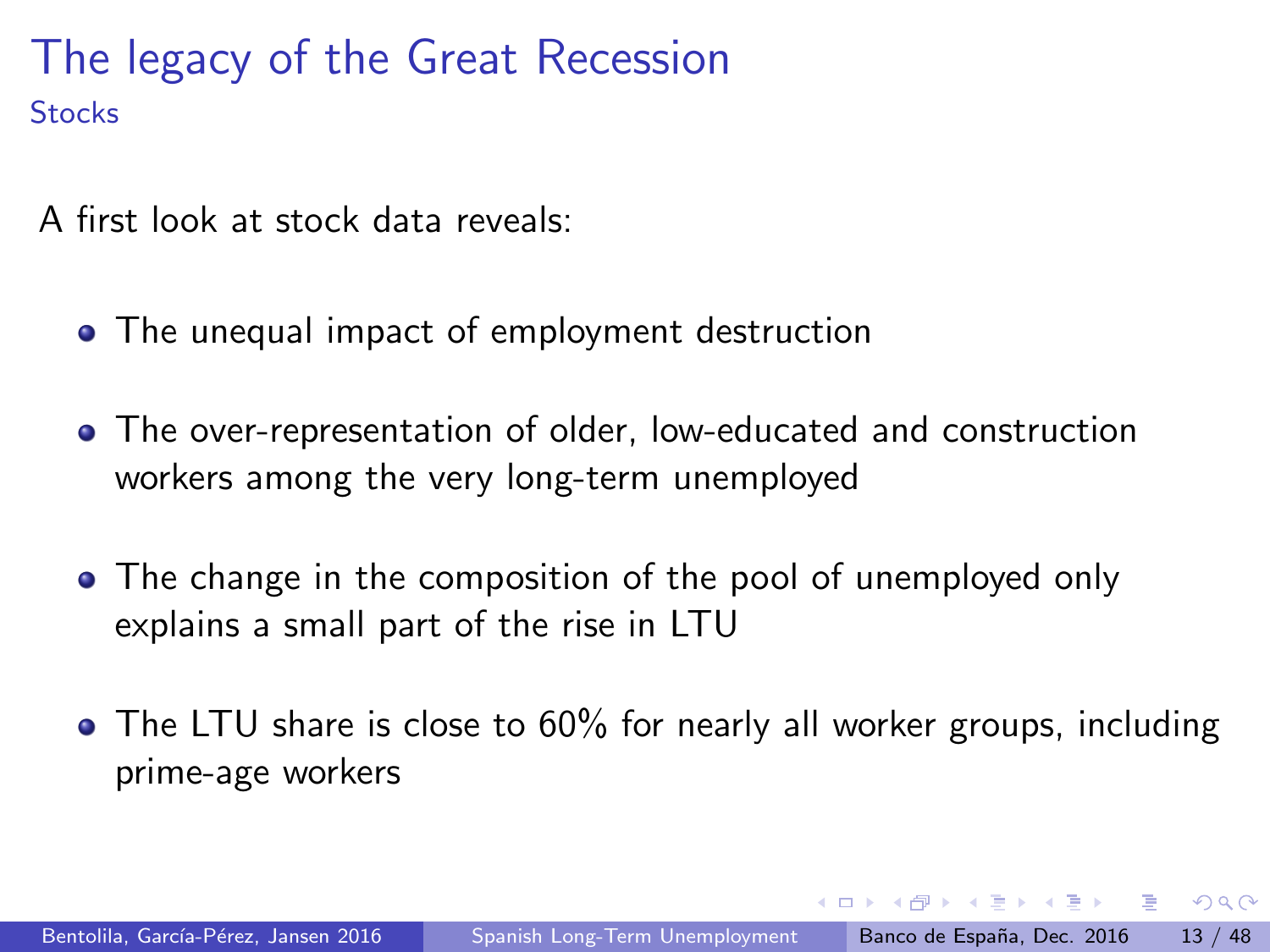A first look at stock data reveals:

- The unequal impact of employment destruction
- The over-representation of older, low-educated and construction workers among the very long-term unemployed
- The change in the composition of the pool of unemployed only explains a small part of the rise in LTU
- The LTU share is close to 60% for nearly all worker groups, including prime-age workers

医单位 医单位

 $\Omega$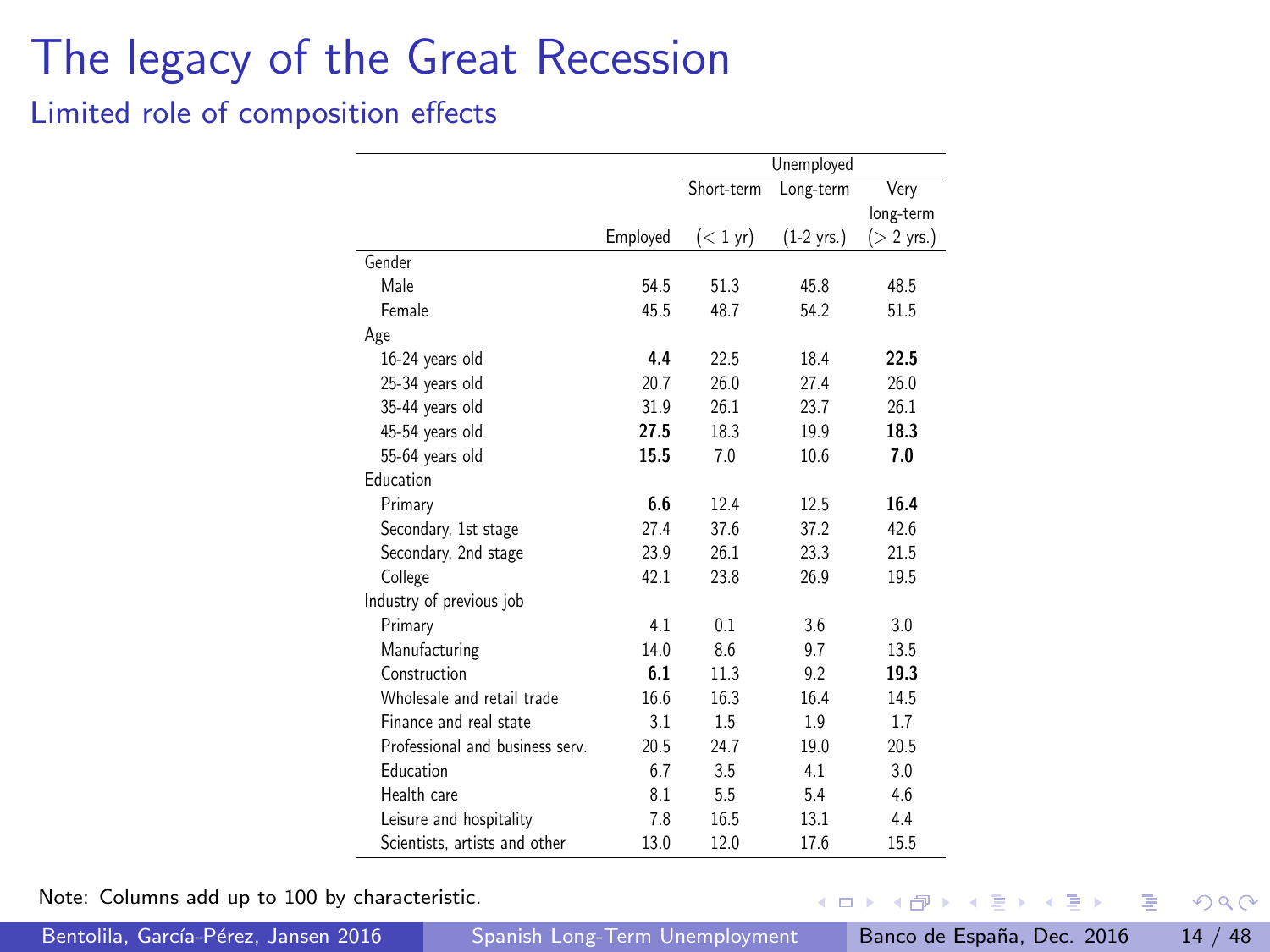#### <span id="page-13-0"></span>Limited role of composition effects

|                                 |          |            | Unemployed           |                      |
|---------------------------------|----------|------------|----------------------|----------------------|
|                                 |          | Short-term | Long-term            | Very                 |
|                                 |          |            |                      | long-term            |
|                                 | Employed | $(< 1$ yr) | $(1-2 \text{ yrs.})$ | $(> 2 \text{ yrs.})$ |
| Gender                          |          |            |                      |                      |
| Male                            | 54.5     | 51.3       | 45.8                 | 48.5                 |
| Female                          | 45.5     | 48.7       | 54.2                 | 51.5                 |
| Age                             |          |            |                      |                      |
| 16-24 years old                 | 4.4      | 22.5       | 18.4                 | 22.5                 |
| 25-34 years old                 | 20.7     | 26.0       | 27.4                 | 26.0                 |
| 35-44 years old                 | 31.9     | 26.1       | 23.7                 | 26.1                 |
| 45-54 years old                 | 27.5     | 18.3       | 19.9                 | 18.3                 |
| 55-64 years old                 | 15.5     | 7.0        | 10.6                 | 7.0                  |
| Education                       |          |            |                      |                      |
| Primary                         | 6.6      | 12.4       | 12.5                 | 16.4                 |
| Secondary, 1st stage            | 27.4     | 37.6       | 37.2                 | 42.6                 |
| Secondary, 2nd stage            | 23.9     | 26.1       | 23.3                 | 21.5                 |
| College                         | 42.1     | 23.8       | 26.9                 | 19.5                 |
| Industry of previous job        |          |            |                      |                      |
| Primary                         | 4.1      | 0.1        | 3.6                  | 3.0                  |
| Manufacturing                   | 14.0     | 8.6        | 9.7                  | 13.5                 |
| Construction                    | 6.1      | 11.3       | 9.2                  | 19.3                 |
| Wholesale and retail trade      | 16.6     | 16.3       | 16.4                 | 14.5                 |
| Finance and real state          | 3.1      | 1.5        | 1.9                  | 1.7                  |
| Professional and business serv. | 20.5     | 24.7       | 19.0                 | 20.5                 |
| Education                       | 6.7      | 3.5        | 4.1                  | 3.0                  |
| Health care                     | 8.1      | 5.5        | 5.4                  | 4.6                  |
| Leisure and hospitality         | 7.8      | 16.5       | 13.1                 | 4.4                  |
| Scientists, artists and other   | 13.0     | 12.0       | 17.6                 | 15.5                 |

Note: Columns add up to 100 by characteristic.

Bentolila, García-Pérez, Jansen 2016 [Spanish Long-Term Unemployment](#page-0-0) Banco de España, Dec. 2016 14 / 48

4.0.3 化重新润滑  $\sim$ 

э

 $299$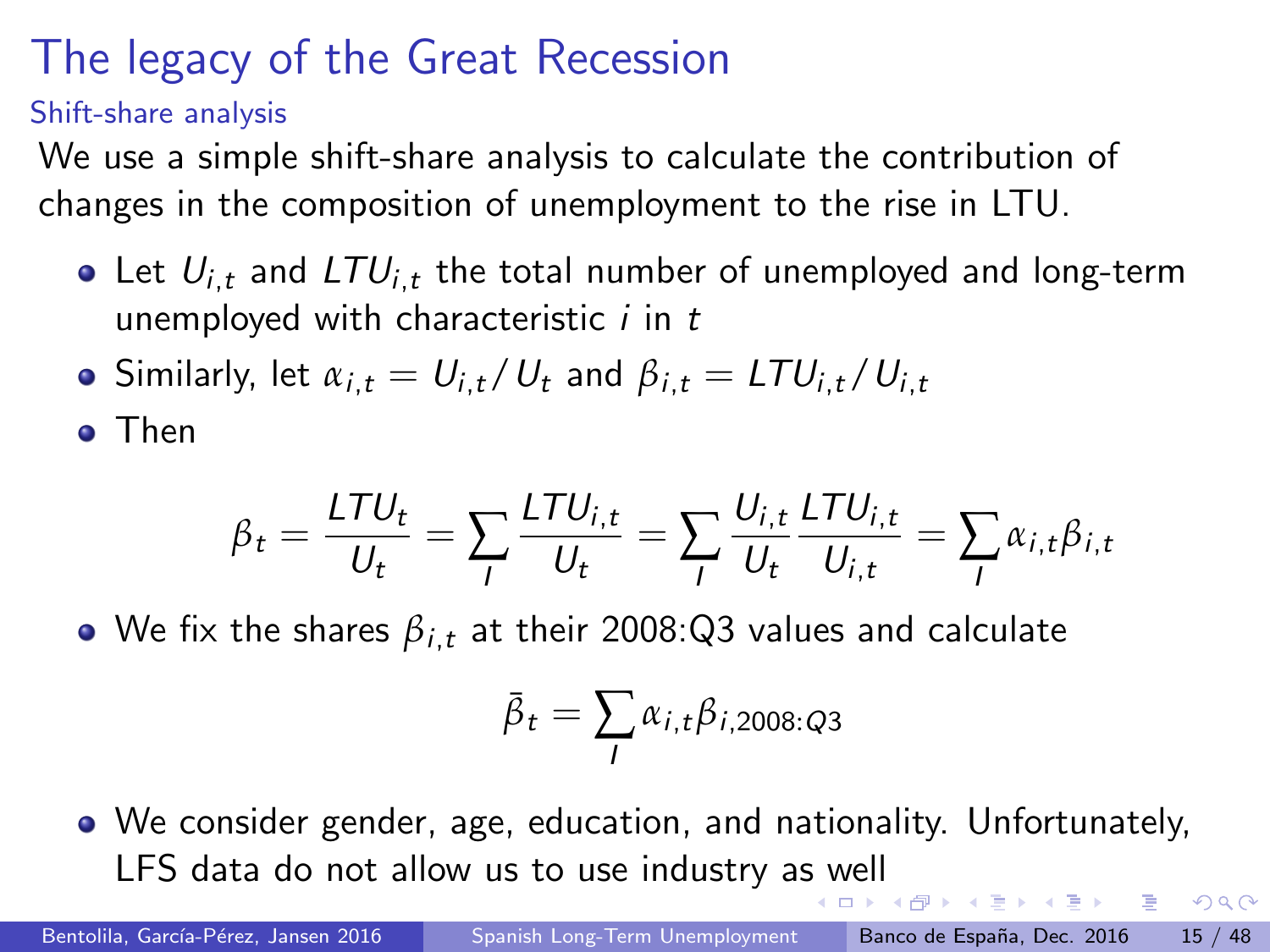Shift-share analysis

We use a simple shift-share analysis to calculate the contribution of changes in the composition of unemployment to the rise in LTU.

- Let  $U_{i,t}$  and  $LTU_{i,t}$  the total number of unemployed and long-term unemployed with characteristic  $i$  in  $t$
- **•** Similarly, let  $\alpha_{i,t} = U_{i,t}/U_t$  and  $\beta_{i,t} = LTU_{i,t}/U_{i,t}$

Then

$$
\beta_t = \frac{L \mathcal{T} U_t}{U_t} = \sum_l \frac{L \mathcal{T} U_{i,t}}{U_t} = \sum_l \frac{U_{i,t}}{U_t} \frac{L \mathcal{T} U_{i,t}}{U_{i,t}} = \sum_l \alpha_{i,t} \beta_{i,t}
$$

• We fix the shares  $\beta_{i,t}$  at their 2008:Q3 values and calculate

$$
\bar{\beta}_t = \sum_l \alpha_{i,t} \beta_{i,2008:Q3}
$$

We consider gender, age, education, and nationality. Unfortunately, LFS data do not allow us to use industry a[s w](#page-13-0)[ell](#page-15-0)  $\mathcal{A} \cong \mathcal{B} \times \mathcal{A} \cong \mathcal{B}$ 

 $\Omega$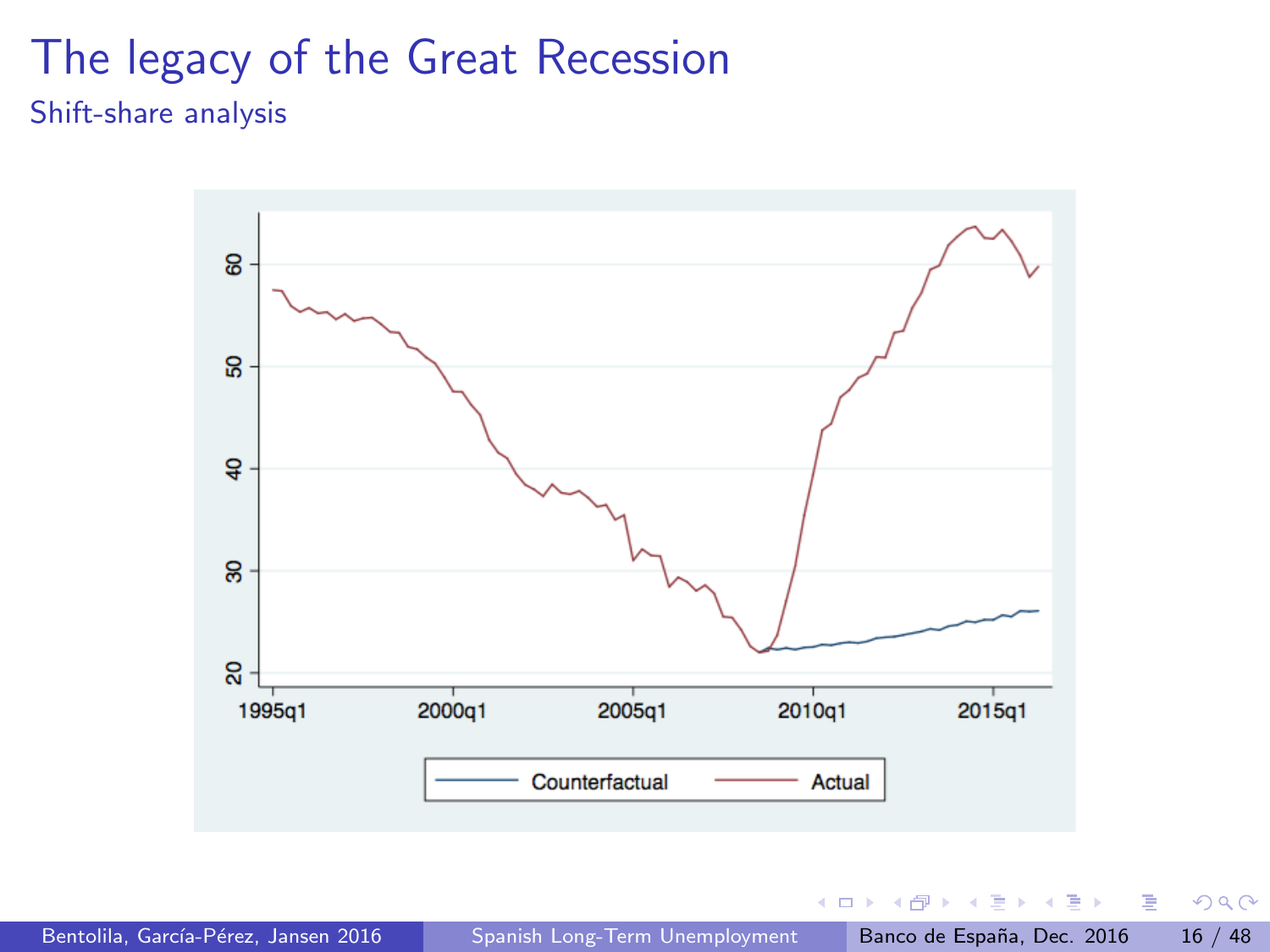#### <span id="page-15-0"></span>The legacy of the Great Recession Shift-share analysis



 $\Box$ 

 $299$ 

画

 $\triangleright$   $\rightarrow$   $\equiv$ 

÷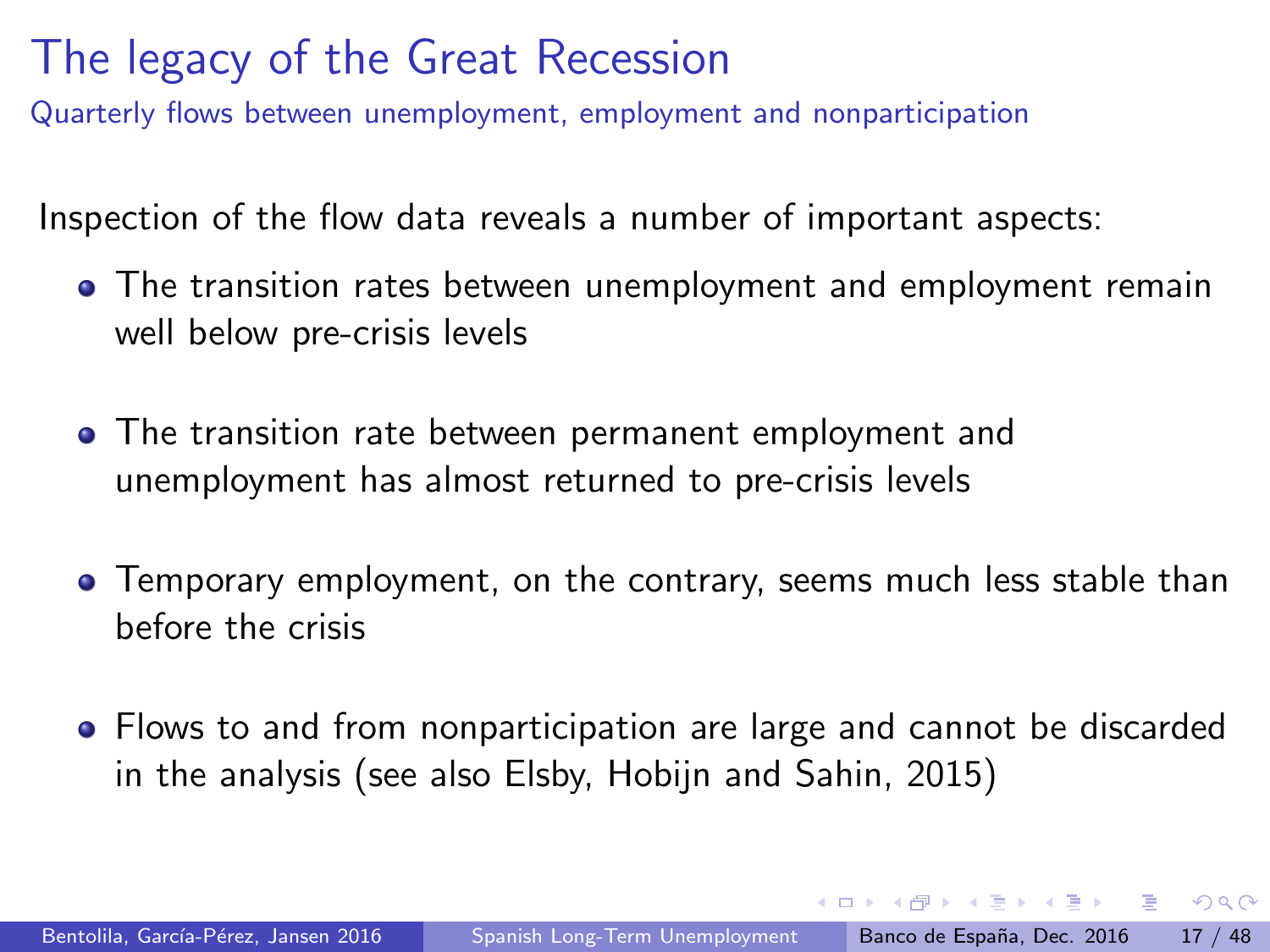Quarterly flows between unemployment, employment and nonparticipation

Inspection of the flow data reveals a number of important aspects:

- The transition rates between unemployment and employment remain well below pre-crisis levels
- The transition rate between permanent employment and unemployment has almost returned to pre-crisis levels
- Temporary employment, on the contrary, seems much less stable than before the crisis
- Flows to and from nonparticipation are large and cannot be discarded in the analysis (see also Elsby, Hobijn and Sahin, 2015)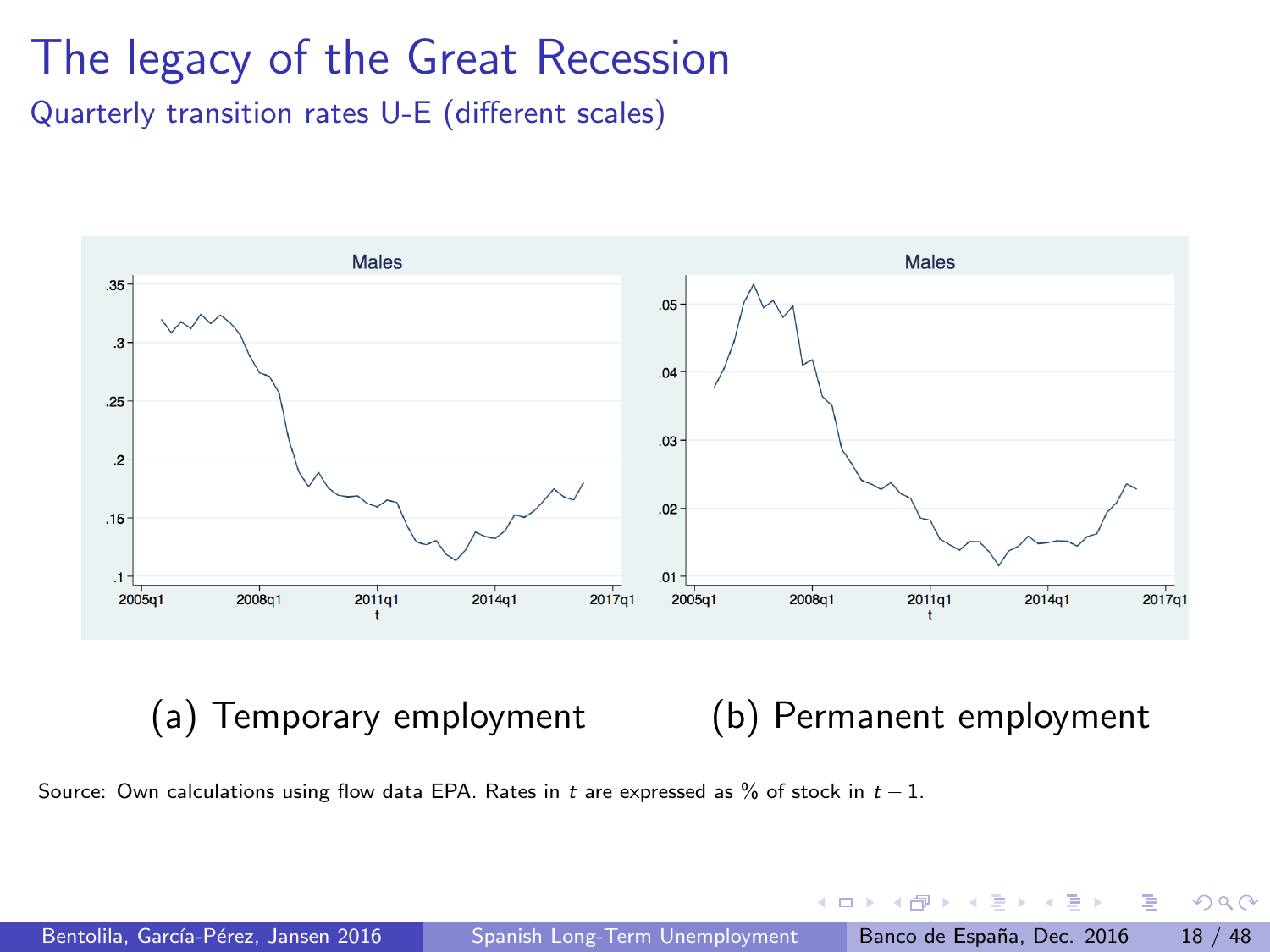Quarterly transition rates U-E (different scales)



#### (a) Temporary employment (b) Permanent employment

 $\Box$ 

Source: Own calculations using flow data EPA. Rates in t are expressed as % of stock in  $t-1$ .

 $\sim$ 

 $-4$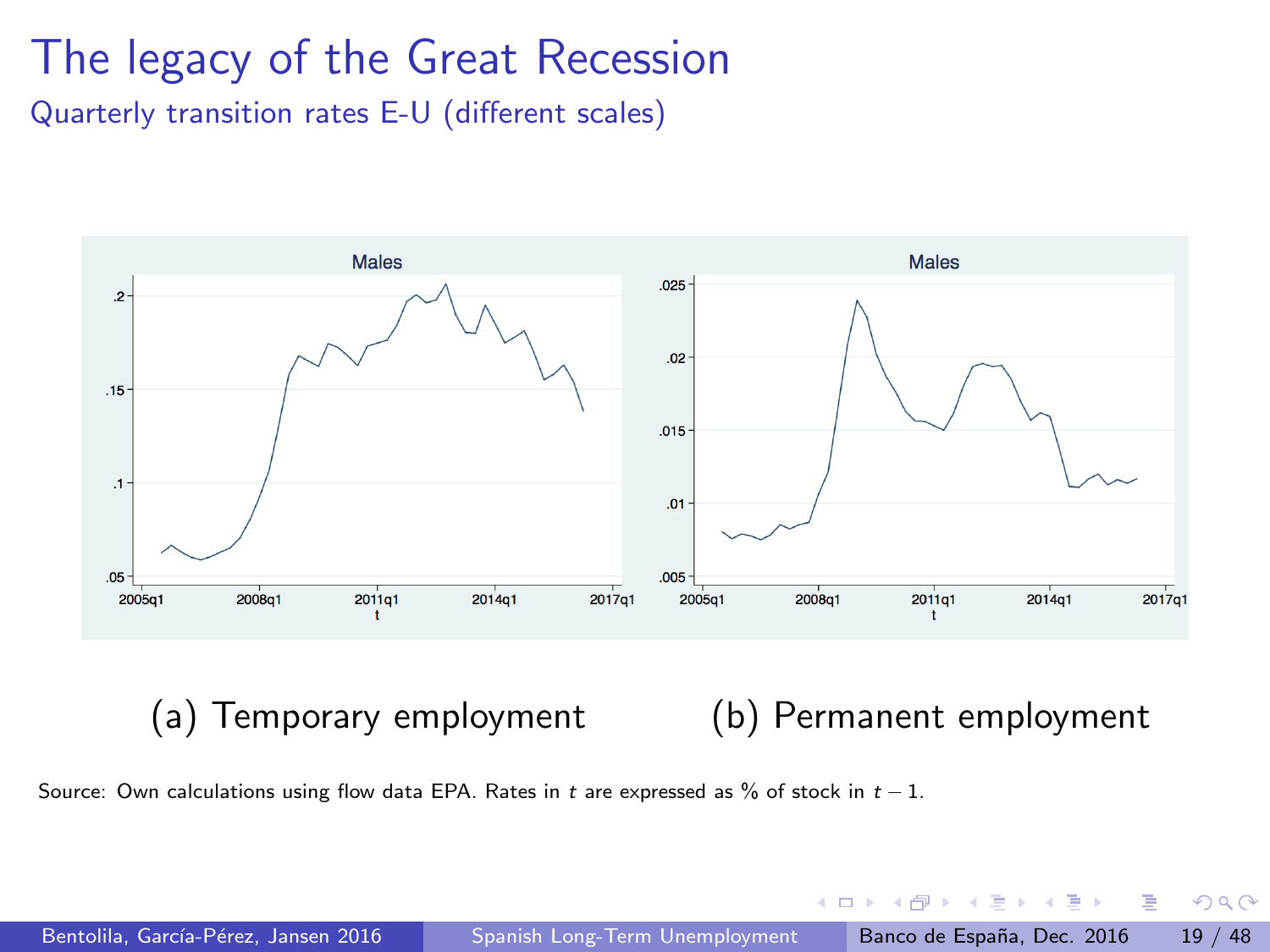Quarterly transition rates E-U (different scales)



#### (a) Temporary employment (b) Permanent employment

 $\Box$ 

Source: Own calculations using flow data EPA. Rates in t are expressed as % of stock in  $t-1$ .

 $\sim$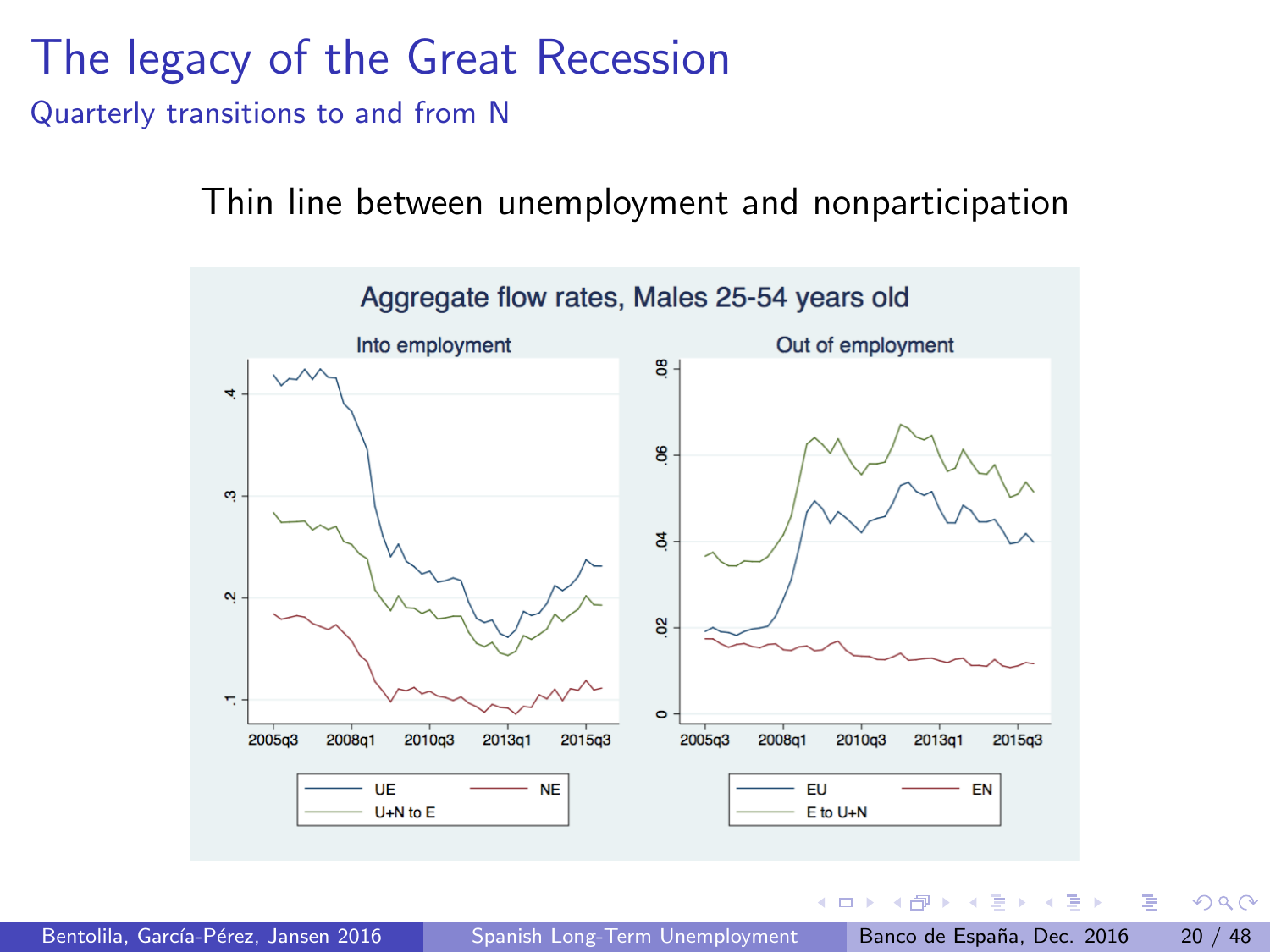Quarterly transitions to and from N

Thin line between unemployment and nonparticipation



 $\Omega$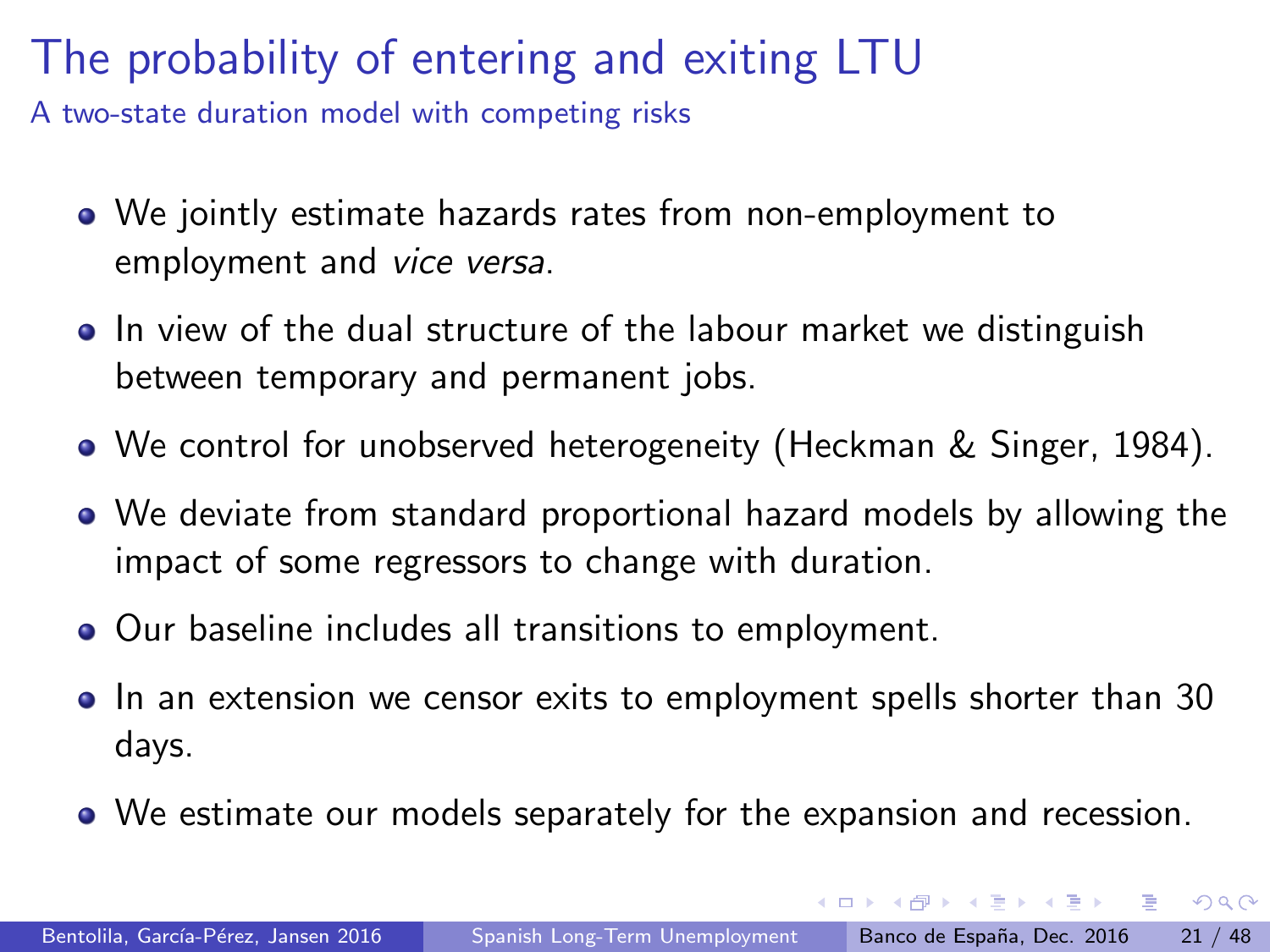A two-state duration model with competing risks

- We jointly estimate hazards rates from non-employment to employment and vice versa.
- In view of the dual structure of the labour market we distinguish between temporary and permanent jobs.
- We control for unobserved heterogeneity (Heckman & Singer, 1984).
- We deviate from standard proportional hazard models by allowing the impact of some regressors to change with duration.
- Our baseline includes all transitions to employment.
- In an extension we censor exits to employment spells shorter than 30 days.
- We estimate our models separately for the expansion and recession.

- 3

 $QQ$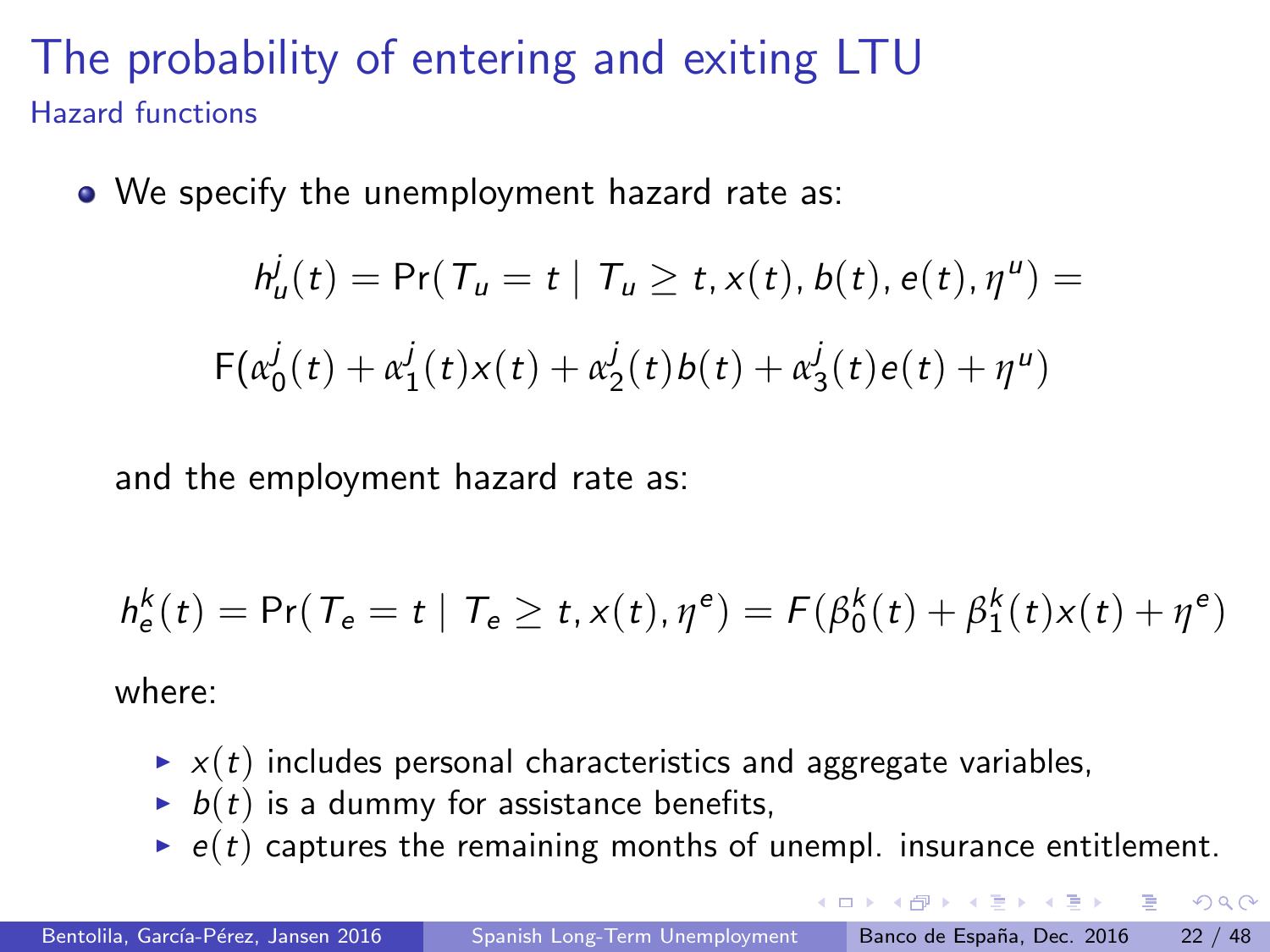#### The probability of entering and exiting LTU Hazard functions

• We specify the unemployment hazard rate as:

$$
h_u^j(t) = \Pr(T_u = t | T_u \ge t, x(t), b(t), e(t), \eta^u) =
$$
  
 
$$
F(\alpha_0^j(t) + \alpha_1^j(t)x(t) + \alpha_2^j(t)b(t) + \alpha_3^j(t)e(t) + \eta^u)
$$

and the employment hazard rate as:

$$
h_{\mathsf{e}}^k(t) = \Pr(\mathcal{T}_{\mathsf{e}} = t \mid \mathcal{T}_{\mathsf{e}} \ge t, x(t), \eta^e) = \mathcal{F}(\beta_0^k(t) + \beta_1^k(t)x(t) + \eta^e)
$$

where:

- $\rightarrow$   $x(t)$  includes personal characteristics and aggregate variables,
- $\blacktriangleright$   $b(t)$  is a dummy for assistance benefits,
- $\rightarrow$  e(t) captures the remaining months of unempl. insurance entitlement.

 $QQ$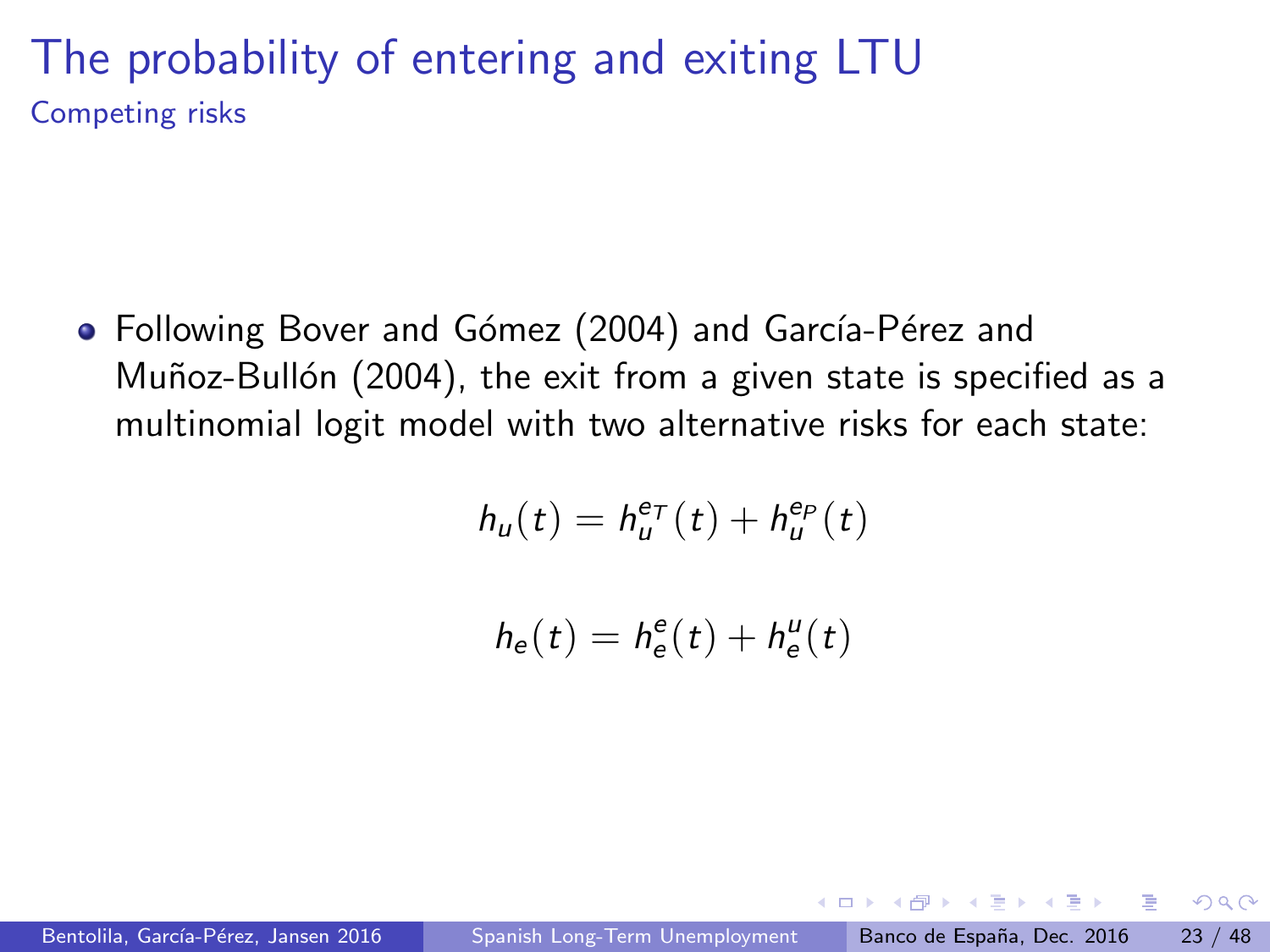#### The probability of entering and exiting LTU Competing risks

• Following Bover and Gómez (2004) and García-Pérez and Muñoz-Bullón (2004), the exit from a given state is specified as a multinomial logit model with two alternative risks for each state:

$$
h_u(t)=h_u^{e\tau}(t)+h_u^{e_P}(t)
$$

$$
h_{\rm e}(t)=h_{\rm e}^{\rm e}(t)+h_{\rm e}^{\rm u}(t)
$$

 $200$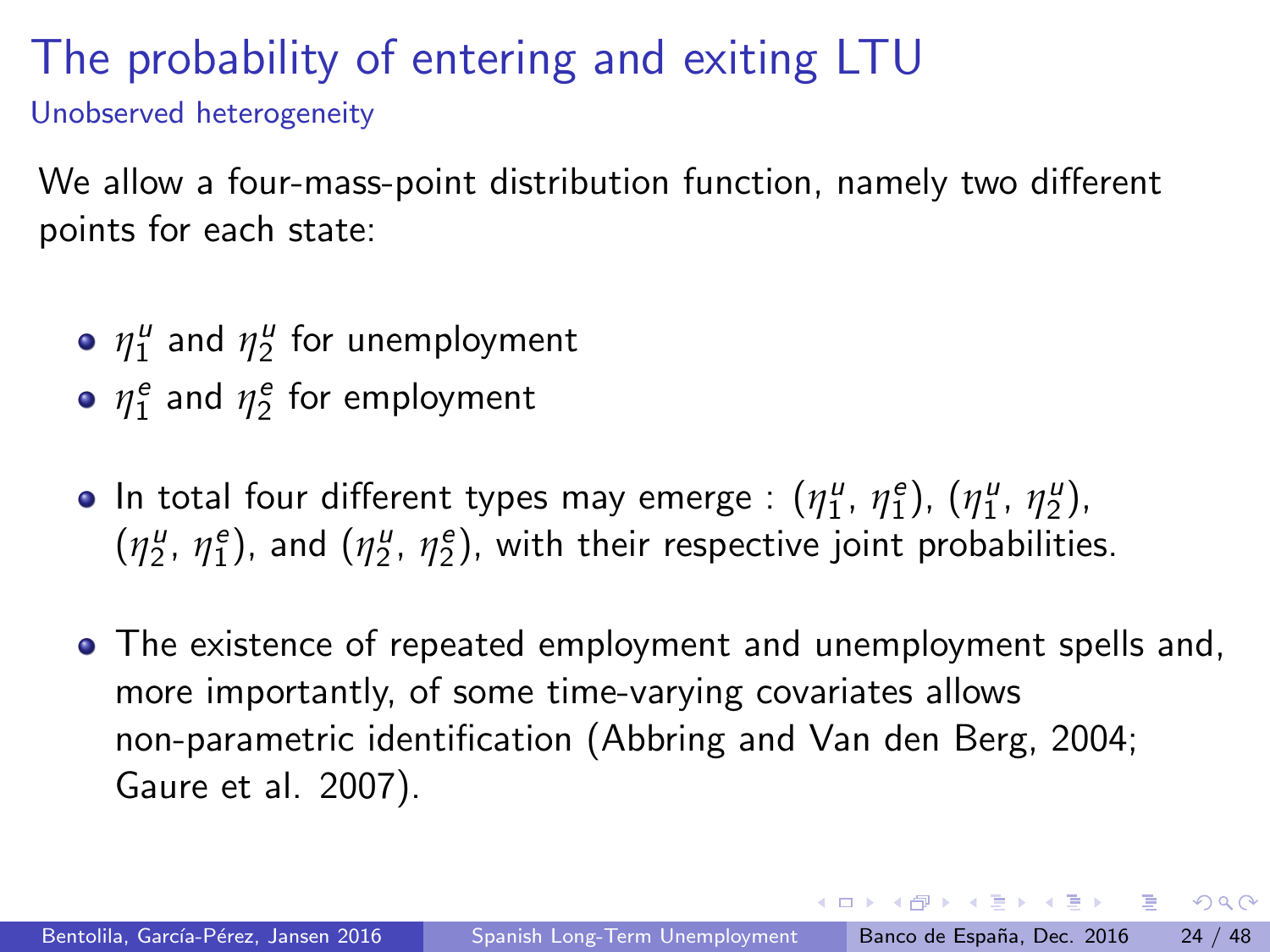#### The probability of entering and exiting LTU Unobserved heterogeneity

We allow a four-mass-point distribution function, namely two different points for each state:

- $\eta_1^u$  and  $\eta_2^u$  for unemployment
- $\eta_1^e$  and  $\eta_2^e$  for employment
- In total four different types may emerge :  $(\eta_1^{\mu}, \eta_1^{\ e}), (\eta_1^{\mu}, \eta_2^{\mu}),$  $(\eta_2^u, \eta_1^e)$ , and  $(\eta_2^u, \eta_2^e)$ , with their respective joint probabilities.
- The existence of repeated employment and unemployment spells and, more importantly, of some time-varying covariates allows non-parametric identification (Abbring and Van den Berg, 2004; Gaure et al. 2007).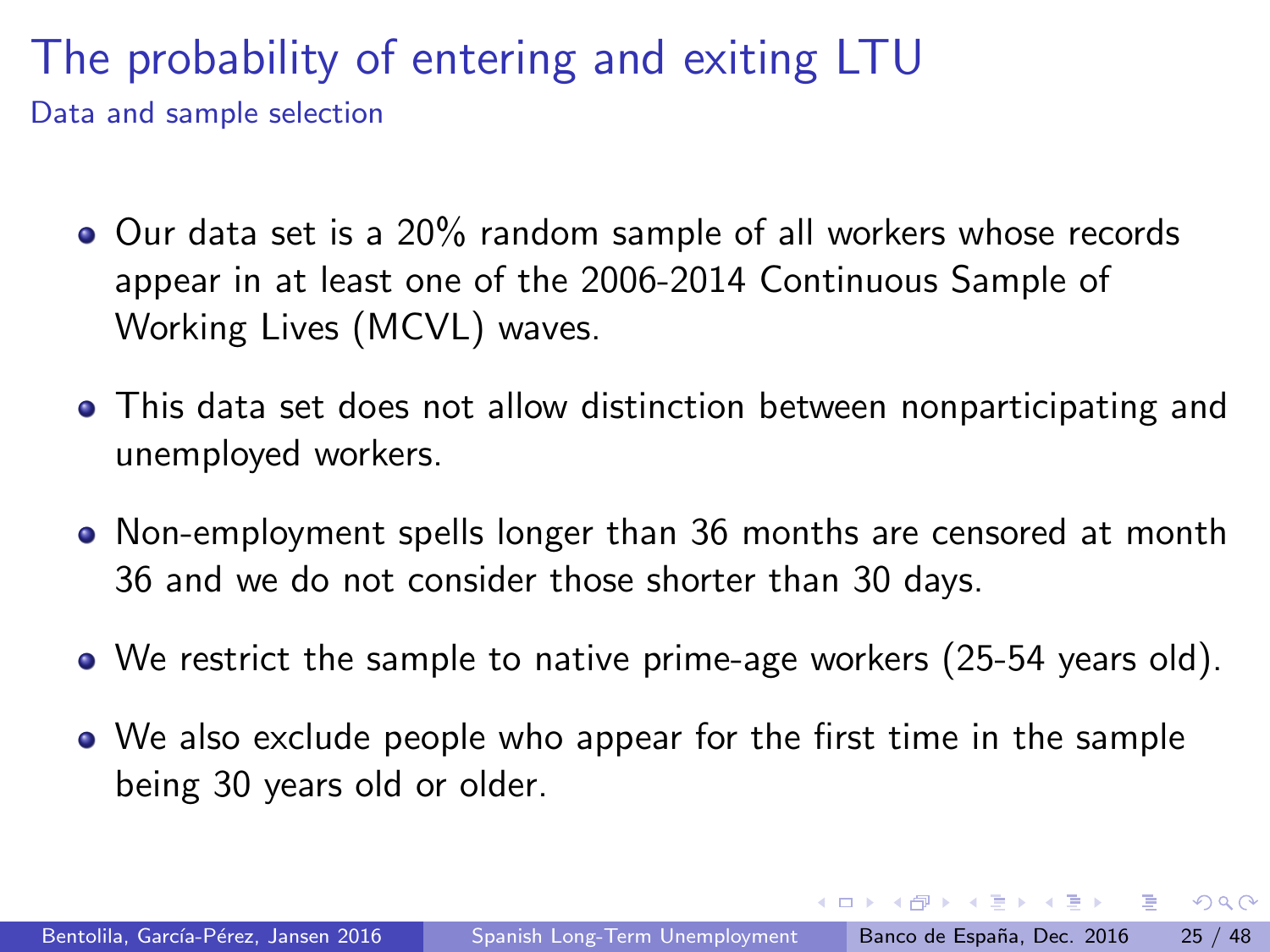#### The probability of entering and exiting LTU Data and sample selection

- Our data set is a 20% random sample of all workers whose records appear in at least one of the 2006-2014 Continuous Sample of Working Lives (MCVL) waves.
- This data set does not allow distinction between nonparticipating and unemployed workers.
- Non-employment spells longer than 36 months are censored at month 36 and we do not consider those shorter than 30 days.
- We restrict the sample to native prime-age workers (25-54 years old).
- We also exclude people who appear for the first time in the sample being 30 years old or older.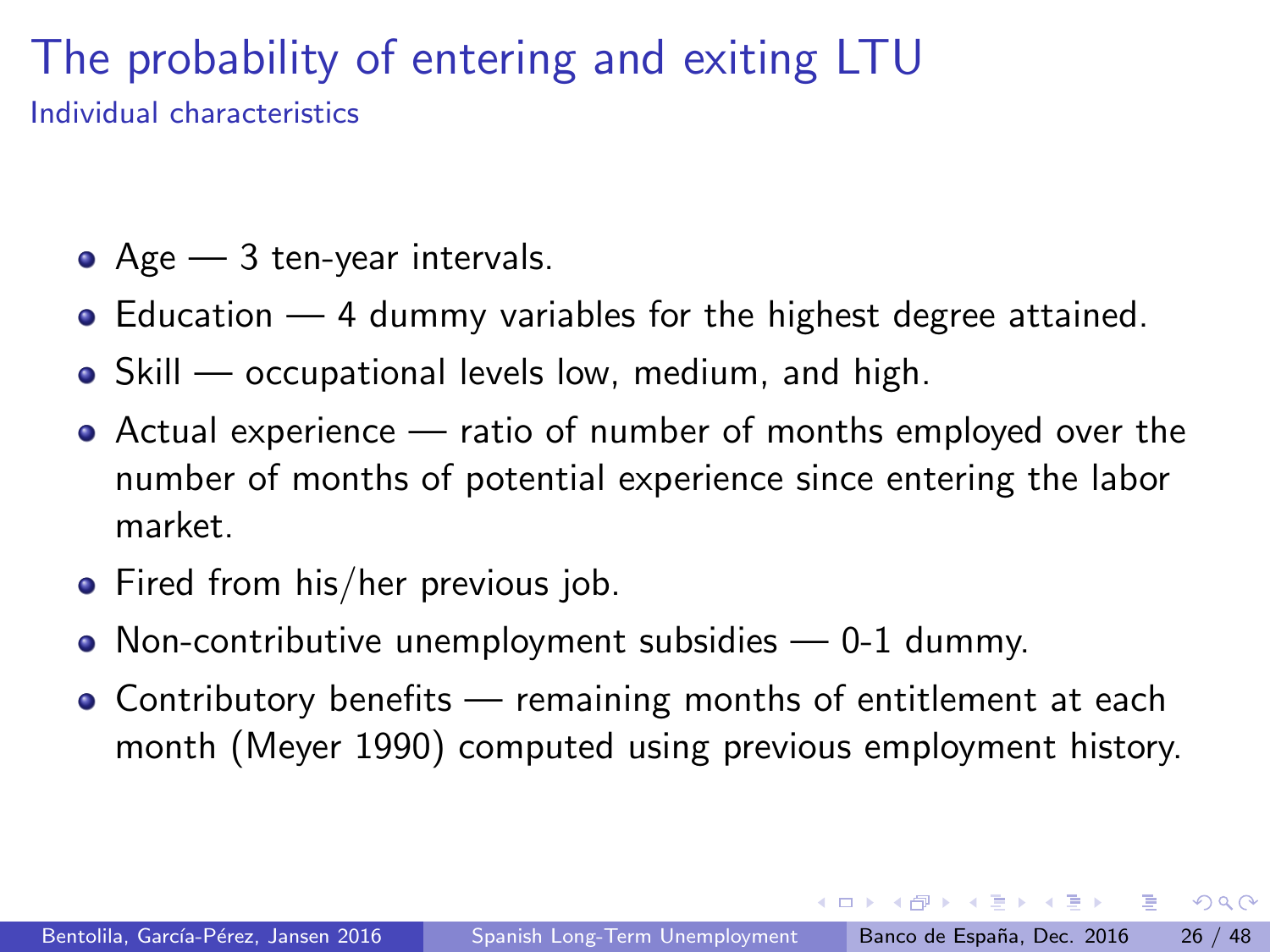#### The probability of entering and exiting LTU Individual characteristics

- $\bullet$  Age  $-$  3 ten-year intervals.
- Education 4 dummy variables for the highest degree attained.
- Skill occupational levels low, medium, and high.
- Actual experience ratio of number of months employed over the number of months of potential experience since entering the labor market.
- Fired from his/her previous job.
- Non-contributive unemployment subsidies 0-1 dummy.
- Contributory benefits remaining months of entitlement at each month (Meyer 1990) computed using previous employment history.

 $\Omega$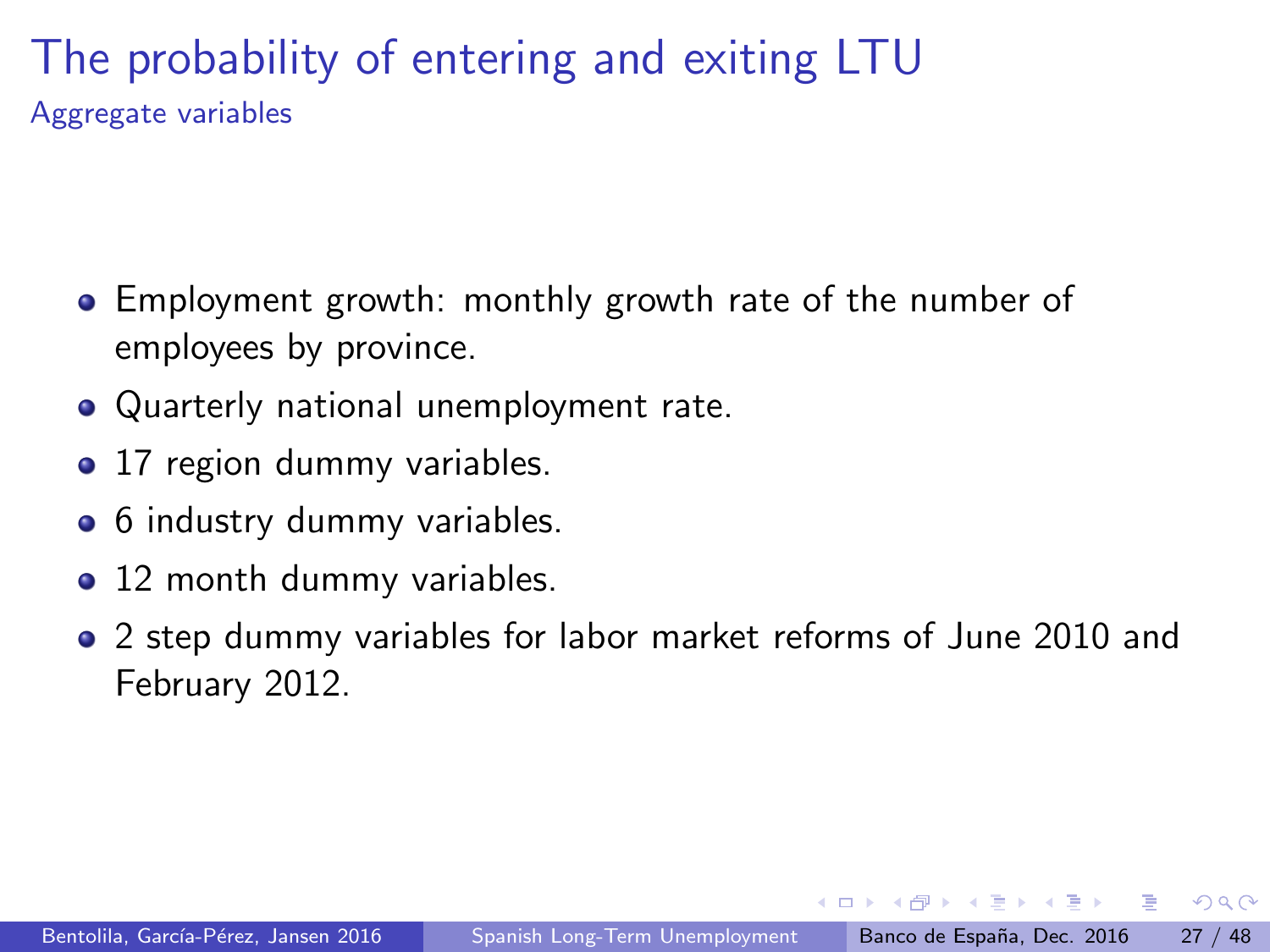#### The probability of entering and exiting LTU Aggregate variables

- Employment growth: monthly growth rate of the number of employees by province.
- Quarterly national unemployment rate.
- 17 region dummy variables.
- 6 industry dummy variables.
- 12 month dummy variables.
- 2 step dummy variables for labor market reforms of June 2010 and February 2012.

医单位 医单位

 $\Omega$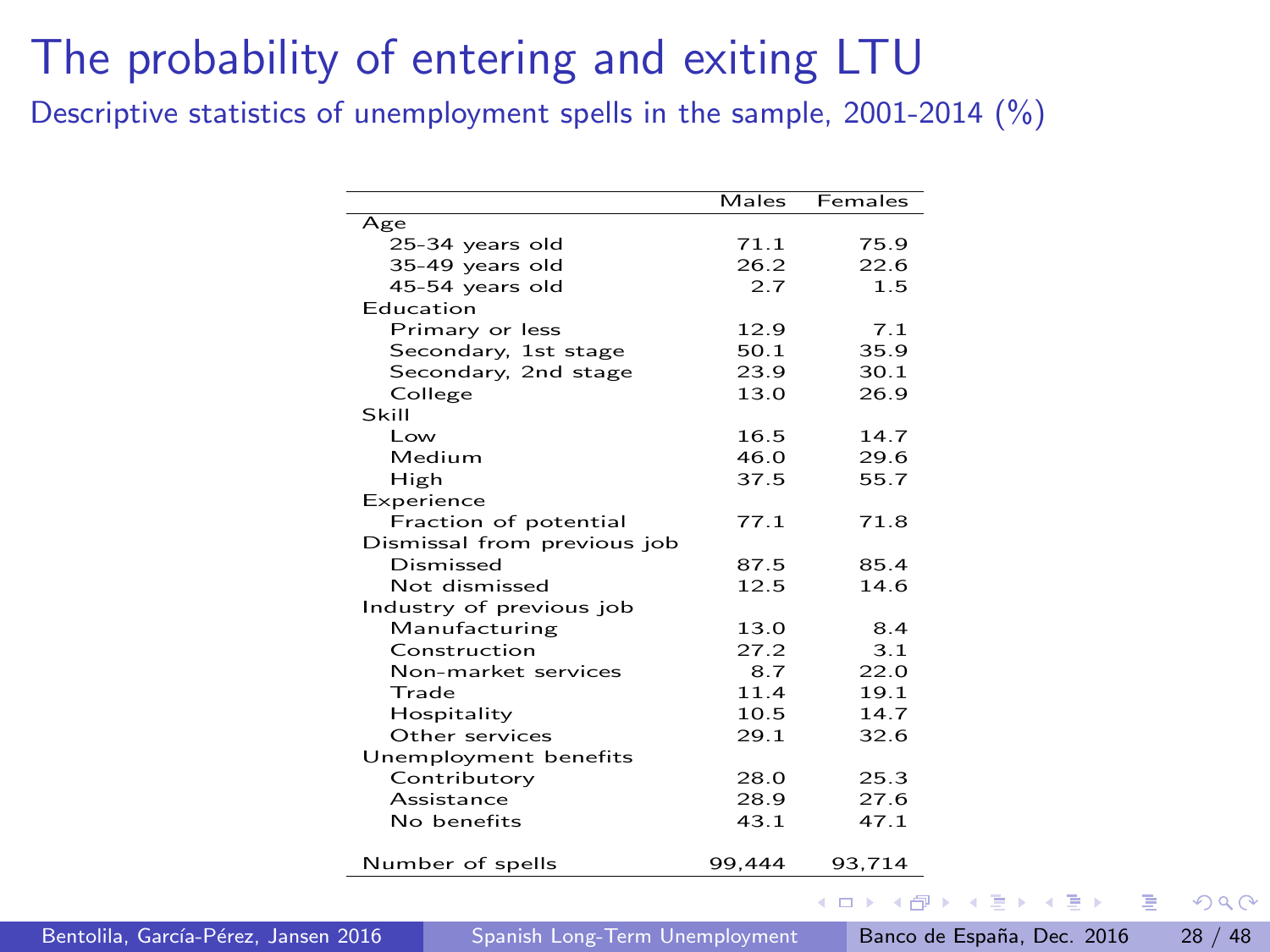<span id="page-27-0"></span>Descriptive statistics of unemployment spells in the sample, 2001-2014 (%)

|                             | Males  | Females |
|-----------------------------|--------|---------|
| Age                         |        |         |
| 25-34 years old             | 71.1   | 75.9    |
| 35-49 years old             | 26.2   | 22.6    |
| 45-54 years old             | 2.7    | 1.5     |
| Education                   |        |         |
| Primary or less             | 12.9   | 7.1     |
| Secondary, 1st stage        | 50.1   | 35.9    |
| Secondary, 2nd stage        | 23.9   | 30.1    |
| College                     | 13.0   | 26.9    |
| Skill                       |        |         |
| I ow                        | 16.5   | 14.7    |
| Medium                      | 46.0   | 29.6    |
| High                        | 37.5   | 55.7    |
| Experience                  |        |         |
| Fraction of potential       | 77.1   | 71.8    |
| Dismissal from previous job |        |         |
| Dismissed                   | 87.5   | 85.4    |
| Not dismissed               | 12.5   | 14.6    |
| Industry of previous job    |        |         |
| Manufacturing               | 13.0   | 8.4     |
| Construction                | 27.2   | 3.1     |
| Non-market services         | 8.7    | 22.O    |
| Trade                       | 11.4   | 19.1    |
| Hospitality                 | 10.5   | 14.7    |
| Other services              | 29.1   | 32.6    |
| Unemployment benefits       |        |         |
| Contributory                | 28.0   | 25.3    |
| Assistance                  | 28.9   | 27.6    |
| No benefits                 | 43.1   | 47.1    |
| Number of spells            | 99.444 | 93,714  |

Bentolila, García-Pérez, Jansen 2016 [Spanish Long-Term Unemployment](#page-0-0) Banco de España, Dec. 2016 28 / 48

 $\sim$ 

 $QQ$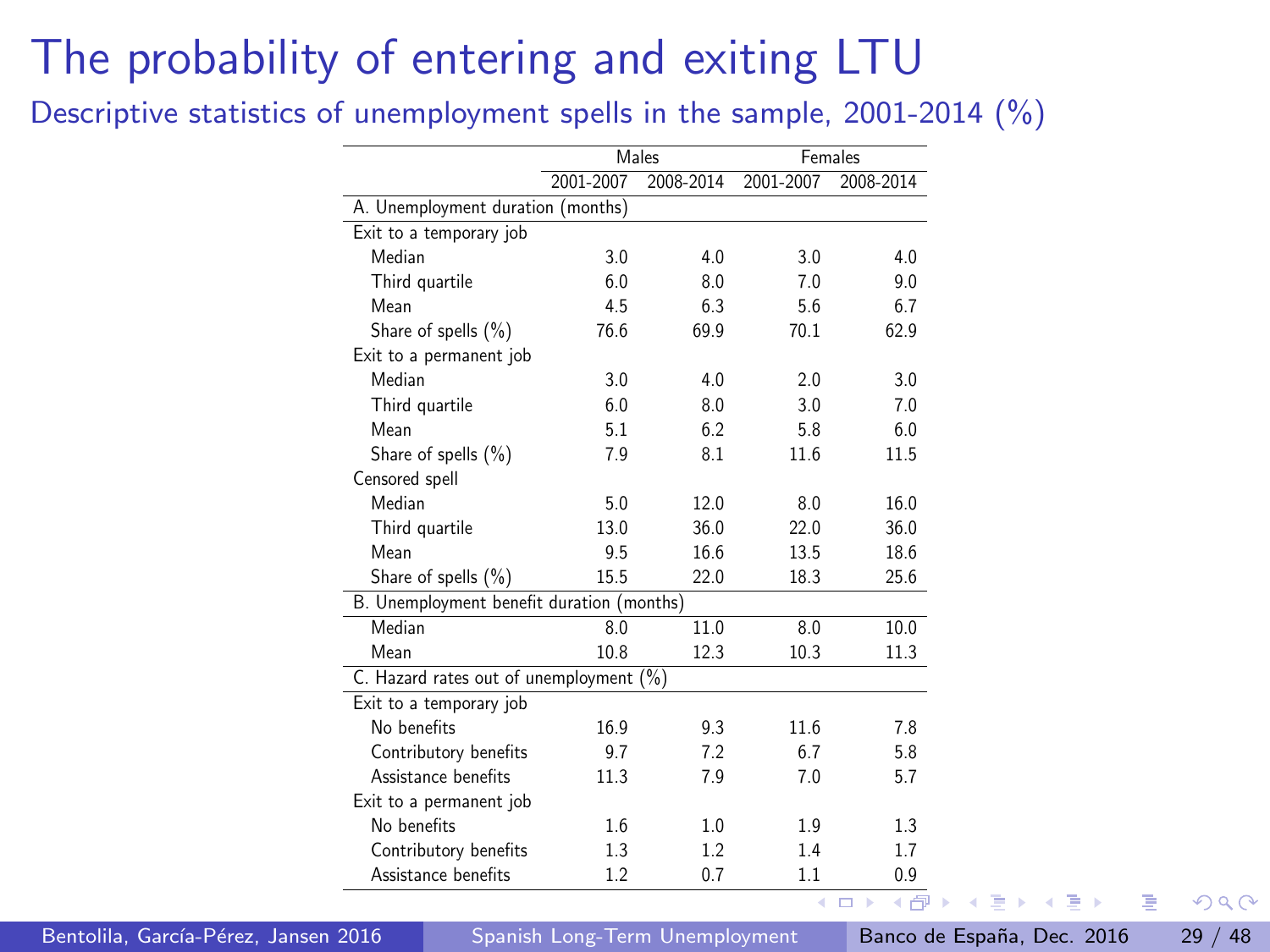<span id="page-28-0"></span>Descriptive statistics of unemployment spells in the sample, 2001-2014 (%)

|                                           |           | Males     |           | Females   |
|-------------------------------------------|-----------|-----------|-----------|-----------|
|                                           | 2001-2007 | 2008-2014 | 2001-2007 | 2008-2014 |
| A. Unemployment duration (months)         |           |           |           |           |
| Exit to a temporary job                   |           |           |           |           |
| Median                                    | 3.0       | 4.0       | 3.0       | 4.0       |
| Third quartile                            | 6.0       | 8.0       | 7.0       | 9.0       |
| Mean                                      | 4.5       | 6.3       | 5.6       | 6.7       |
| Share of spells (%)                       | 76.6      | 69.9      | 70.1      | 62.9      |
| Exit to a permanent job                   |           |           |           |           |
| Median                                    | 3.0       | 4.0       | 2.0       | 3.0       |
| Third quartile                            | 6.0       | 8.0       | 3.0       | 7.0       |
| Mean                                      | 5.1       | 6.2       | 5.8       | 6.0       |
| Share of spells (%)                       | 7.9       | 8.1       | 11.6      | 11.5      |
| Censored spell                            |           |           |           |           |
| Median                                    | 5.0       | 12.0      | 8.0       | 16.0      |
| Third quartile                            | 13.0      | 36.0      | 22.0      | 36.0      |
| Mean                                      | 9.5       | 16.6      | 13.5      | 18.6      |
| Share of spells (%)                       | 15.5      | 22.0      | 18.3      | 25.6      |
| B. Unemployment benefit duration (months) |           |           |           |           |
| Median                                    | 8.0       | 11.0      | 8.0       | 10.0      |
| Mean                                      | 10.8      | 12.3      | 10.3      | 11.3      |
| C. Hazard rates out of unemployment (%)   |           |           |           |           |
| Exit to a temporary job                   |           |           |           |           |
| No benefits                               | 16.9      | 9.3       | 11.6      | 7.8       |
| Contributory benefits                     | 9.7       | 7.2       | 6.7       | 5.8       |
| Assistance benefits                       | 11.3      | 7.9       | 7.0       | 5.7       |
| Exit to a permanent job                   |           |           |           |           |
| No benefits                               | 1.6       | 1.0       | 1.9       | 1.3       |
| Contributory benefits                     | 1.3       | 1.2       | 1.4       | 1.7       |
| Assistance benefits                       | 1.2       | 0.7       | 1.1       | 0.9       |

Bentolila, García-Pérez, Jansen 2016 [Spanish Long-Term Unemployment](#page-0-0) Banco de España, Dec. 2016 29 / 48

 $\leftarrow$ 

ヨメ メヨメ

э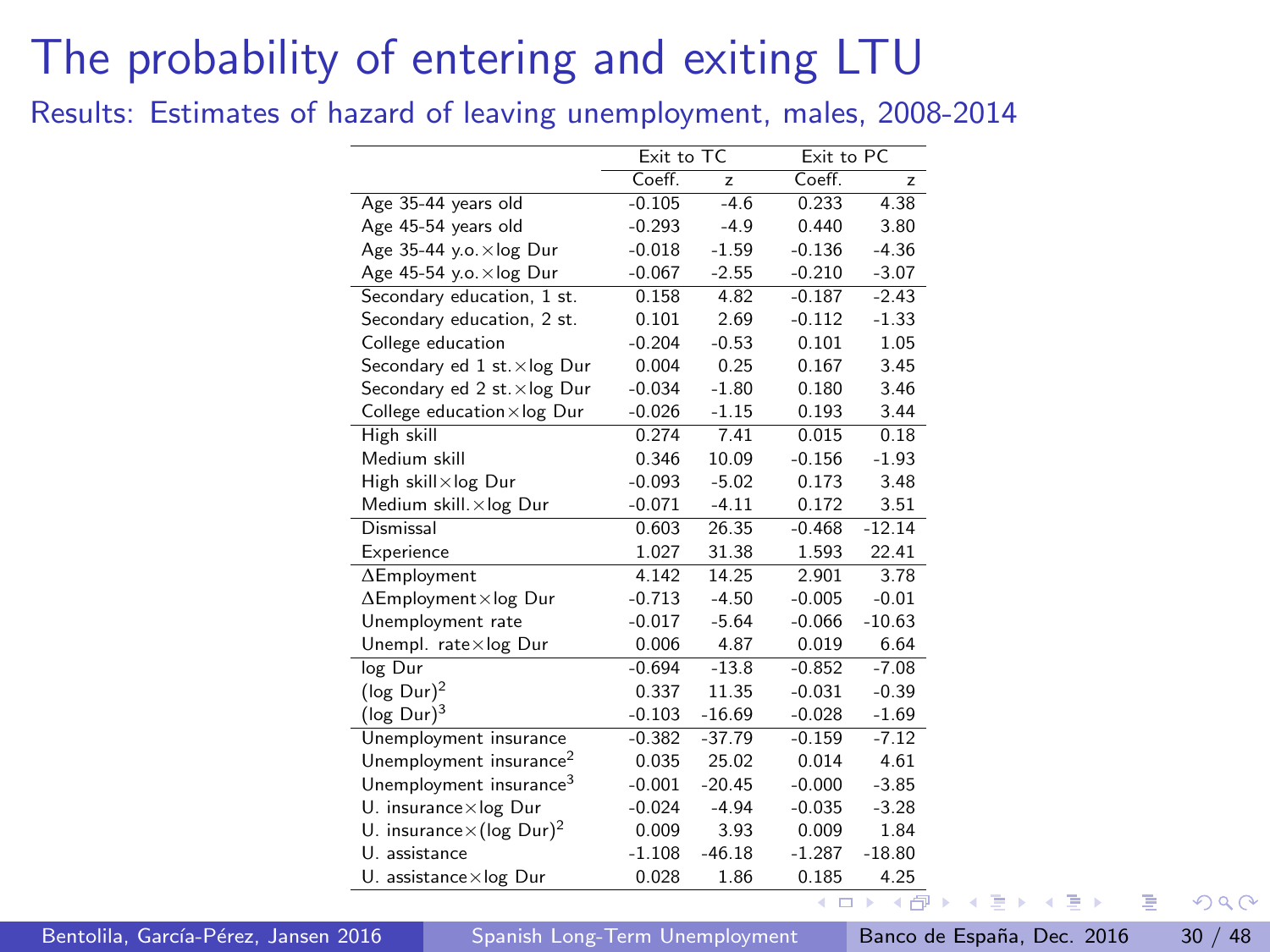<span id="page-29-0"></span>Results: Estimates of hazard of leaving unemployment, males, 2008-2014

|                                              | Exit to TC |                | Exit to PC |          |
|----------------------------------------------|------------|----------------|------------|----------|
|                                              | Coeff.     | $\overline{z}$ | Coeff.     | z        |
| Age 35-44 years old                          | $-0.105$   | $-4.6$         | 0.233      | 4.38     |
| Age 45-54 years old                          | $-0.293$   | $-4.9$         | 0.440      | 3.80     |
| Age 35-44 y.o. xlog Dur                      | $-0.018$   | $-1.59$        | $-0.136$   | $-4.36$  |
| Age 45-54 y.o. xlog Dur                      | $-0.067$   | $-2.55$        | $-0.210$   | $-3.07$  |
| Secondary education, 1 st.                   | 0.158      | 4.82           | $-0.187$   | $-2.43$  |
| Secondary education, 2 st.                   | 0.101      | 2.69           | $-0.112$   | $-1.33$  |
| College education                            | $-0.204$   | $-0.53$        | 0.101      | 1.05     |
| Secondary ed 1 st. xlog Dur                  | 0.004      | 0.25           | 0.167      | 3.45     |
| Secondary ed 2 st. xlog Dur                  | $-0.034$   | $-1.80$        | 0.180      | 3.46     |
| College education $\times$ log Dur           | $-0.026$   | $-1.15$        | 0.193      | 3.44     |
| High skill                                   | 0.274      | 7.41           | 0.015      | 0.18     |
| Medium skill                                 | 0.346      | 10.09          | $-0.156$   | $-1.93$  |
| High skill×log Dur                           | $-0.093$   | $-5.02$        | 0.173      | 3.48     |
| Medium skill. xlog Dur                       | $-0.071$   | $-4.11$        | 0.172      | 3.51     |
| Dismissal                                    | 0.603      | 26.35          | $-0.468$   | $-12.14$ |
| Experience                                   | 1.027      | 31.38          | 1.593      | 22.41    |
| $\Delta$ Employment                          | 4.142      | 14.25          | 2.901      | 3.78     |
| $\Delta$ Employment×log Dur                  | $-0.713$   | $-4.50$        | $-0.005$   | $-0.01$  |
| Unemployment rate                            | $-0.017$   | $-5.64$        | $-0.066$   | $-10.63$ |
| Unempl. rate $\times$ log Dur                | 0.006      | 4.87           | 0.019      | 6.64     |
| log Dur                                      | $-0.694$   | $-13.8$        | $-0.852$   | $-7.08$  |
| $(\log$ Dur) <sup>2</sup>                    | 0.337      | 11.35          | $-0.031$   | $-0.39$  |
| $(\log$ Dur) <sup>3</sup>                    | $-0.103$   | $-16.69$       | $-0.028$   | $-1.69$  |
| Unemployment insurance                       | $-0.382$   | $-37.79$       | $-0.159$   | $-7.12$  |
| Unemployment insurance <sup>2</sup>          | 0.035      | 25.02          | 0.014      | 4.61     |
| Unemployment insurance <sup>3</sup>          | $-0.001$   | $-20.45$       | $-0.000$   | $-3.85$  |
| $U.$ insurance $\times$ log Dur              | $-0.024$   | $-4.94$        | $-0.035$   | $-3.28$  |
| U. insurance $\times$ (log Dur) <sup>2</sup> | 0.009      | 3.93           | 0.009      | 1.84     |
| U. assistance                                | $-1.108$   | $-46.18$       | $-1.287$   | $-18.80$ |
| U. assistance×log Dur                        | 0.028      | 1.86           | 0.185      | 4.25     |
|                                              |            |                | 4          | ь<br>4   |

Bentolila, García-Pérez, Jansen 2016 [Spanish Long-Term Unemployment](#page-0-0) Banco de España, Dec. 2016 30 / 48

 $\sim$ 

 $QQ$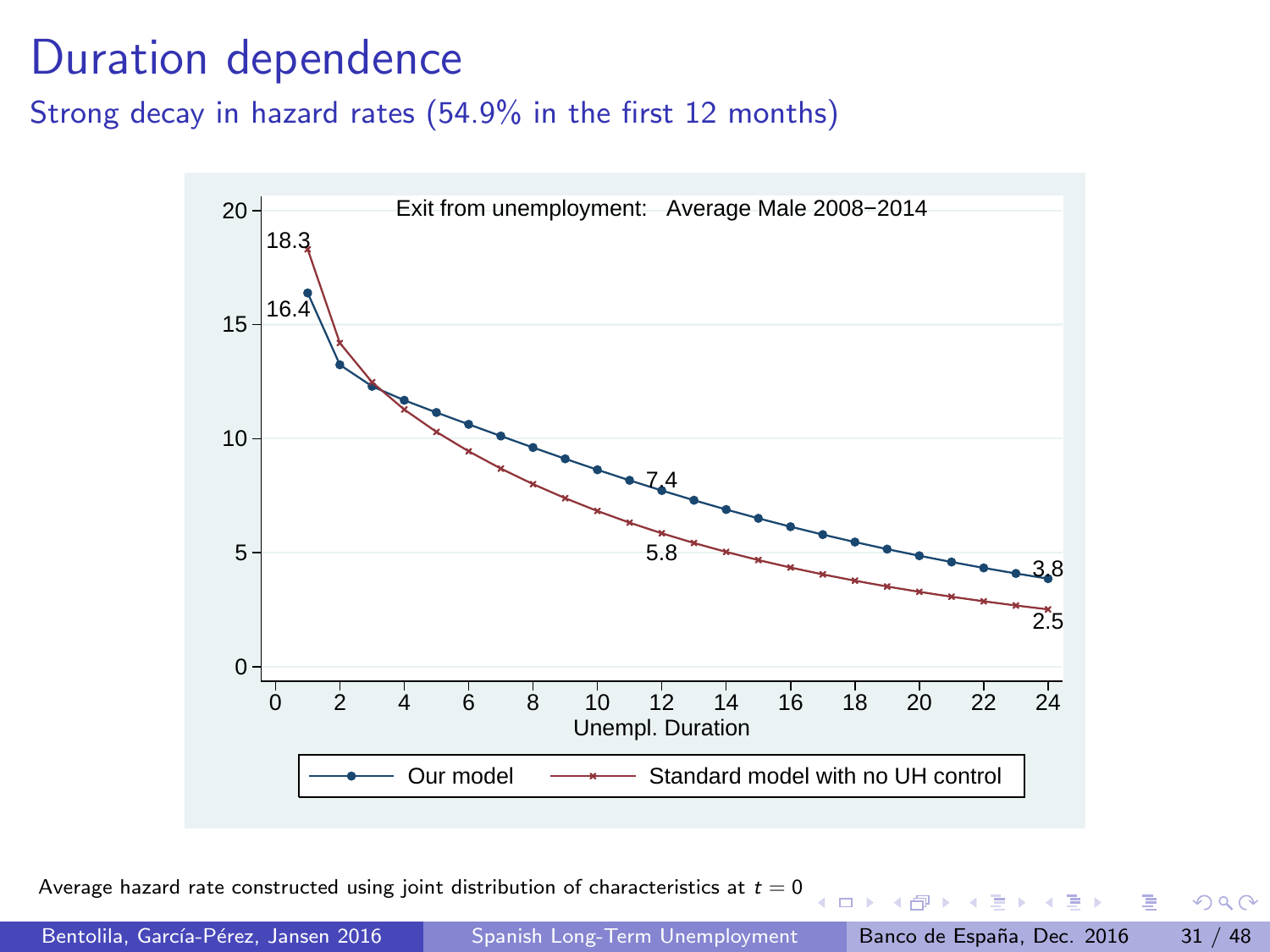## <span id="page-30-0"></span>Duration dependence

Strong decay in hazard rates (54.9% in the first 12 months)



Average hazard rate constructed using joint distribution of characteristics at  $t = 0$ 

 $QQ$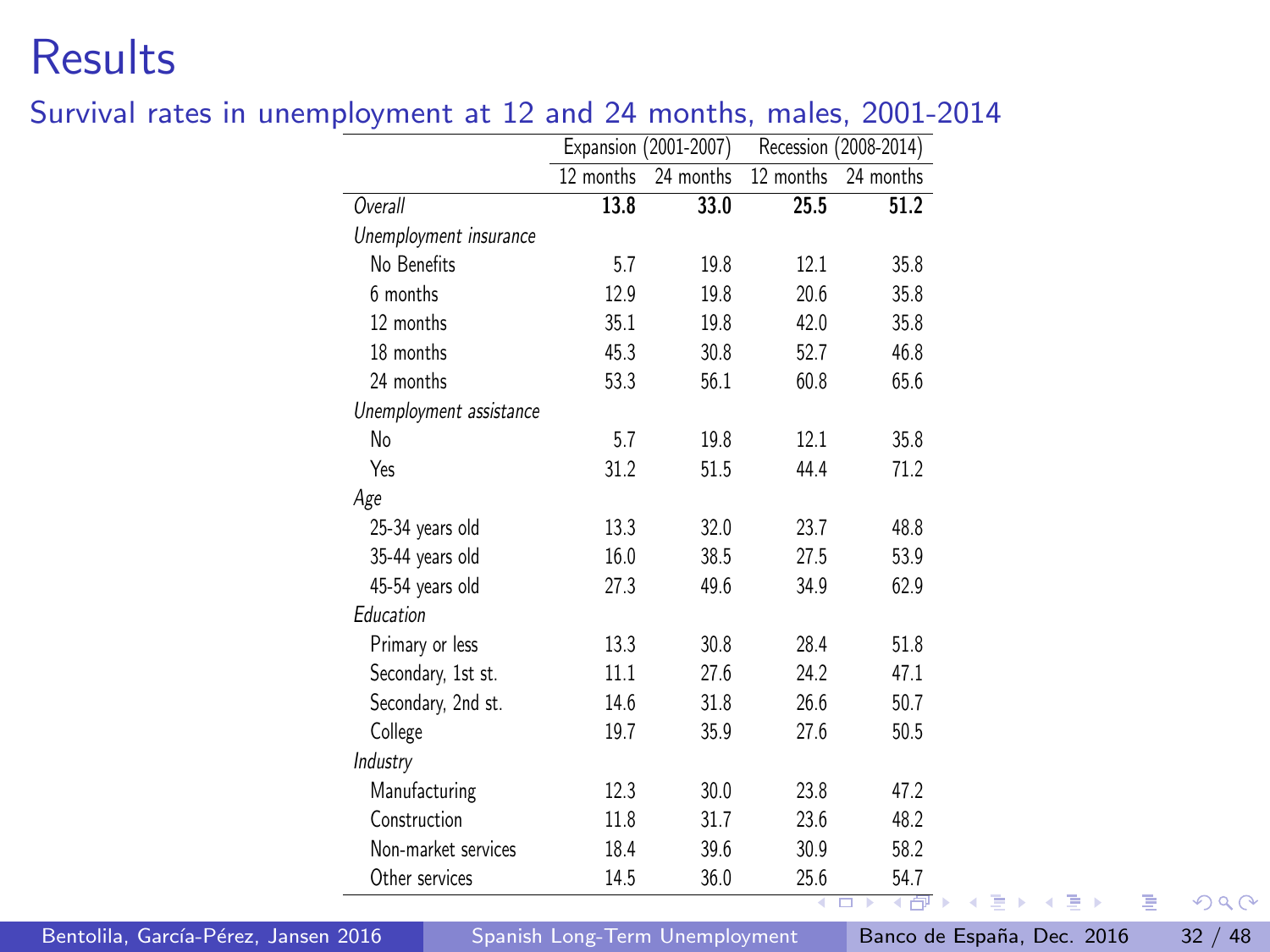### <span id="page-31-0"></span>**Results**

|                         |           | Expansion (2001-2007) |           | Recession (2008-2014) |
|-------------------------|-----------|-----------------------|-----------|-----------------------|
|                         | 12 months | 24 months             | 12 months | 24 months             |
| Overall                 | 13.8      | 33.0                  | 25.5      | 51.2                  |
| Unemployment insurance  |           |                       |           |                       |
| No Benefits             | 5.7       | 19.8                  | 12.1      | 35.8                  |
| 6 months                | 12.9      | 19.8                  | 20.6      | 35.8                  |
| 12 months               | 35.1      | 19.8                  | 42.0      | 35.8                  |
| 18 months               | 45.3      | 30.8                  | 52.7      | 46.8                  |
| 24 months               | 53.3      | 56.1                  | 60.8      | 65.6                  |
| Unemployment assistance |           |                       |           |                       |
| No                      | 5.7       | 19.8                  | 12.1      | 35.8                  |
| Yes                     | 31.2      | 51.5                  | 44.4      | 71.2                  |
| Age                     |           |                       |           |                       |
| 25-34 years old         | 13.3      | 32.0                  | 23.7      | 48.8                  |
| 35-44 years old         | 16.0      | 38.5                  | 27.5      | 53.9                  |
| 45-54 years old         | 27.3      | 49.6                  | 34.9      | 62.9                  |
| Education               |           |                       |           |                       |
| Primary or less         | 13.3      | 30.8                  | 28.4      | 51.8                  |
| Secondary, 1st st.      | 11.1      | 27.6                  | 24.2      | 47.1                  |
| Secondary, 2nd st.      | 14.6      | 31.8                  | 26.6      | 50.7                  |
| College                 | 19.7      | 35.9                  | 27.6      | 50.5                  |
| Industry                |           |                       |           |                       |
| Manufacturing           | 12.3      | 30.0                  | 23.8      | 47.2                  |
| Construction            | 11.8      | 31.7                  | 23.6      | 48.2                  |
| Non-market services     | 18.4      | 39.6                  | 30.9      | 58.2                  |
| Other services          | 14.5      | 36.0                  | 25.6      | 54.7                  |

#### Survival rates in unemployment at 12 and 24 months, males, 2001-2014

Bentolila, García-Pérez, Jansen 2016 [Spanish Long-Term Unemployment](#page-0-0) Banco de España, Dec. 2016 32 / 48

画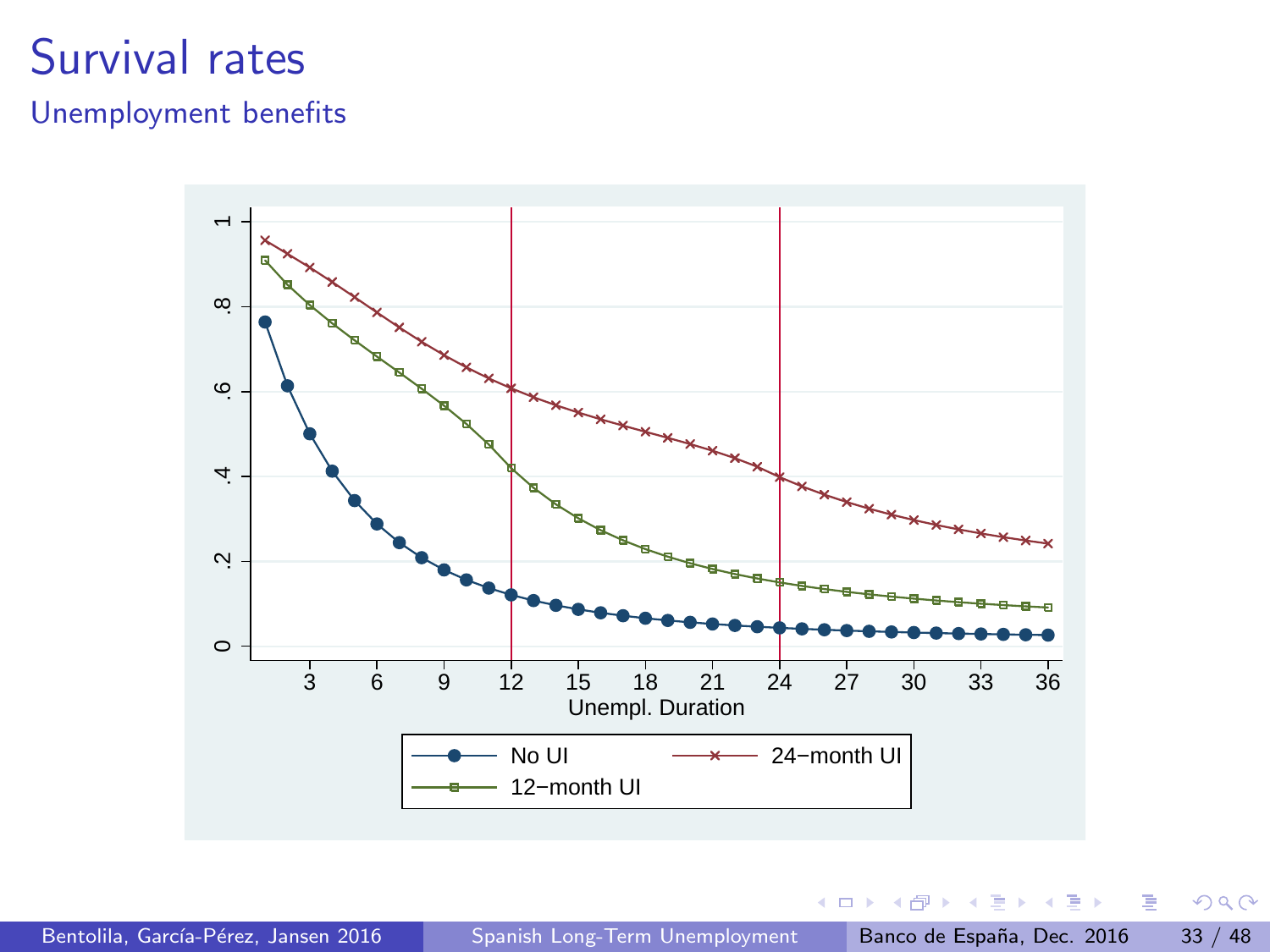## <span id="page-32-0"></span>Survival rates

#### Unemployment benefits



4 同 下

4 D F

→ 君 > → 君 >

 $299$ 

画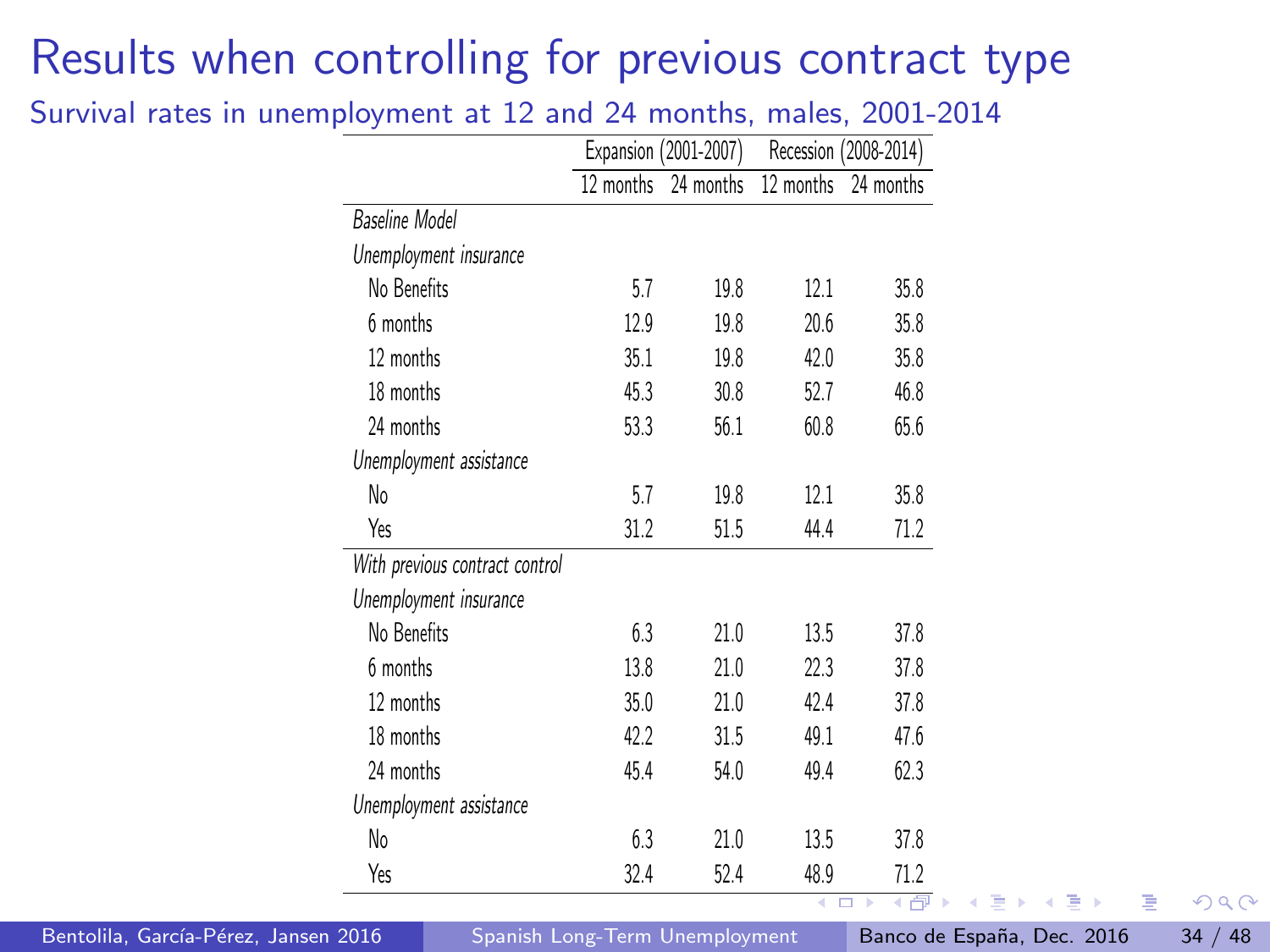# <span id="page-33-0"></span>Results when controlling for previous contract type

Survival rates in unemployment at 12 and 24 months, males, 2001-2014

| 12 months<br>24 months<br>12 months<br>24 months<br>Baseline Model<br>Unemployment insurance<br>No Benefits<br>19.8<br>12.1<br>35.8<br>5.7<br>6 months<br>12.9<br>19.8<br>20.6<br>35.8<br>12 months<br>35.8<br>35.1<br>19.8<br>42.0<br>18 months<br>30.8<br>46.8<br>45.3<br>52.7<br>24 months<br>56.1<br>60.8<br>65.6<br>53.3<br>Unemployment assistance<br>No<br>5.7<br>19.8<br>12.1<br>35.8<br>Yes<br>31.2<br>51.5<br>44.4<br>71.2<br>With previous contract control<br>Unemployment insurance<br>No Benefits<br>21.0<br>37.8<br>6.3<br>13.5<br>6 months<br>13.8<br>21.0<br>22.3<br>37.8<br>12 months<br>35.0<br>21.0<br>42.4<br>37.8 |  | Expansion (2001-2007) | Recession (2008-2014) |
|-----------------------------------------------------------------------------------------------------------------------------------------------------------------------------------------------------------------------------------------------------------------------------------------------------------------------------------------------------------------------------------------------------------------------------------------------------------------------------------------------------------------------------------------------------------------------------------------------------------------------------------------|--|-----------------------|-----------------------|
|                                                                                                                                                                                                                                                                                                                                                                                                                                                                                                                                                                                                                                         |  |                       |                       |
|                                                                                                                                                                                                                                                                                                                                                                                                                                                                                                                                                                                                                                         |  |                       |                       |
|                                                                                                                                                                                                                                                                                                                                                                                                                                                                                                                                                                                                                                         |  |                       |                       |
|                                                                                                                                                                                                                                                                                                                                                                                                                                                                                                                                                                                                                                         |  |                       |                       |
|                                                                                                                                                                                                                                                                                                                                                                                                                                                                                                                                                                                                                                         |  |                       |                       |
|                                                                                                                                                                                                                                                                                                                                                                                                                                                                                                                                                                                                                                         |  |                       |                       |
|                                                                                                                                                                                                                                                                                                                                                                                                                                                                                                                                                                                                                                         |  |                       |                       |
|                                                                                                                                                                                                                                                                                                                                                                                                                                                                                                                                                                                                                                         |  |                       |                       |
|                                                                                                                                                                                                                                                                                                                                                                                                                                                                                                                                                                                                                                         |  |                       |                       |
|                                                                                                                                                                                                                                                                                                                                                                                                                                                                                                                                                                                                                                         |  |                       |                       |
|                                                                                                                                                                                                                                                                                                                                                                                                                                                                                                                                                                                                                                         |  |                       |                       |
|                                                                                                                                                                                                                                                                                                                                                                                                                                                                                                                                                                                                                                         |  |                       |                       |
|                                                                                                                                                                                                                                                                                                                                                                                                                                                                                                                                                                                                                                         |  |                       |                       |
|                                                                                                                                                                                                                                                                                                                                                                                                                                                                                                                                                                                                                                         |  |                       |                       |
|                                                                                                                                                                                                                                                                                                                                                                                                                                                                                                                                                                                                                                         |  |                       |                       |
|                                                                                                                                                                                                                                                                                                                                                                                                                                                                                                                                                                                                                                         |  |                       |                       |
| 18 months<br>42.2<br>49.1<br>31.5<br>47.6                                                                                                                                                                                                                                                                                                                                                                                                                                                                                                                                                                                               |  |                       |                       |
| 24 months<br>62.3<br>45.4<br>49.4<br>54.0                                                                                                                                                                                                                                                                                                                                                                                                                                                                                                                                                                                               |  |                       |                       |
| Unemployment assistance                                                                                                                                                                                                                                                                                                                                                                                                                                                                                                                                                                                                                 |  |                       |                       |
| No<br>6.3<br>21.0<br>13.5<br>37.8                                                                                                                                                                                                                                                                                                                                                                                                                                                                                                                                                                                                       |  |                       |                       |
| Yes<br>32.4<br>52.4<br>48.9<br>71.2                                                                                                                                                                                                                                                                                                                                                                                                                                                                                                                                                                                                     |  |                       |                       |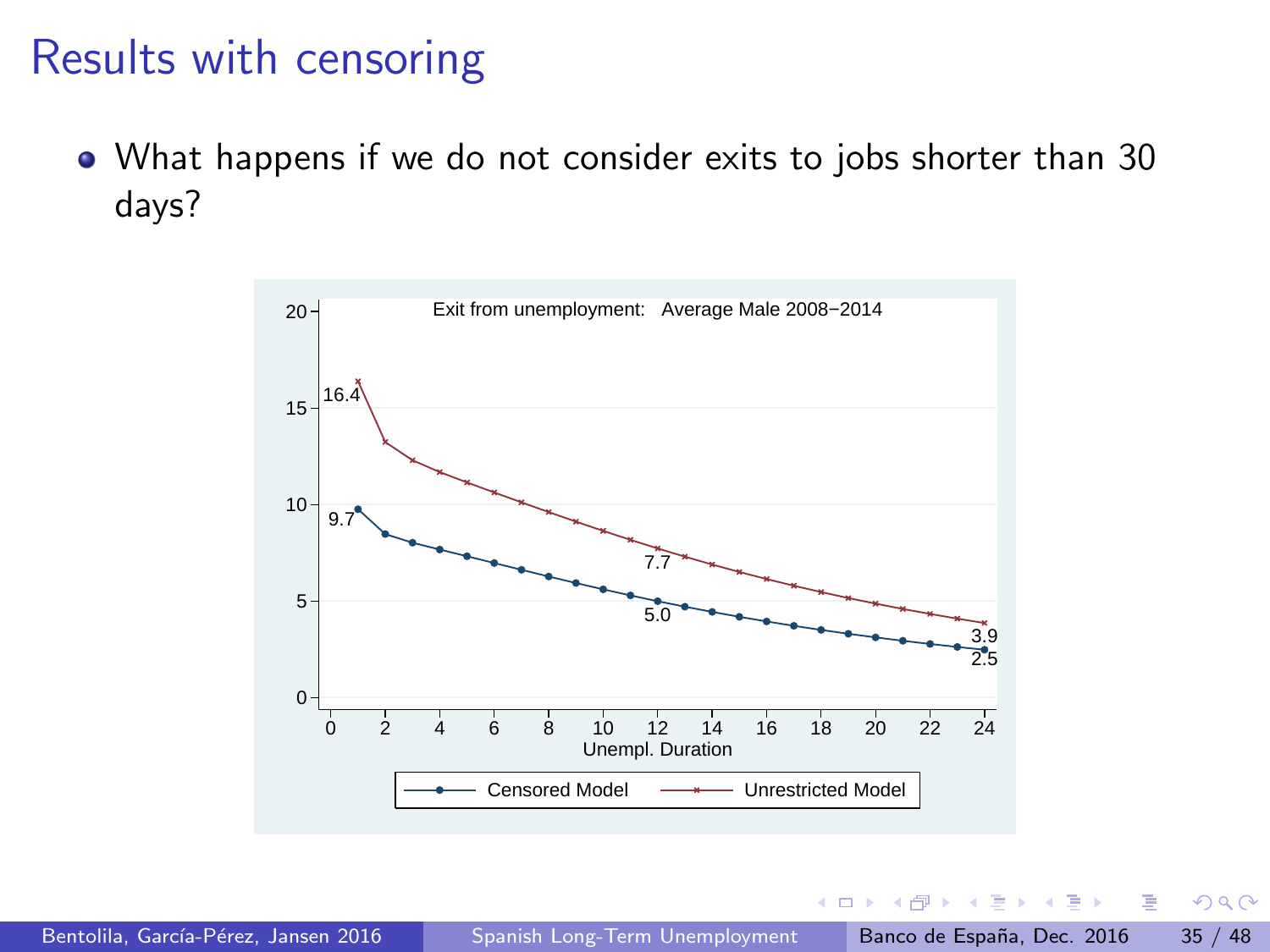<span id="page-34-0"></span>What happens if we do not consider exits to jobs shorter than 30 days?



 $200$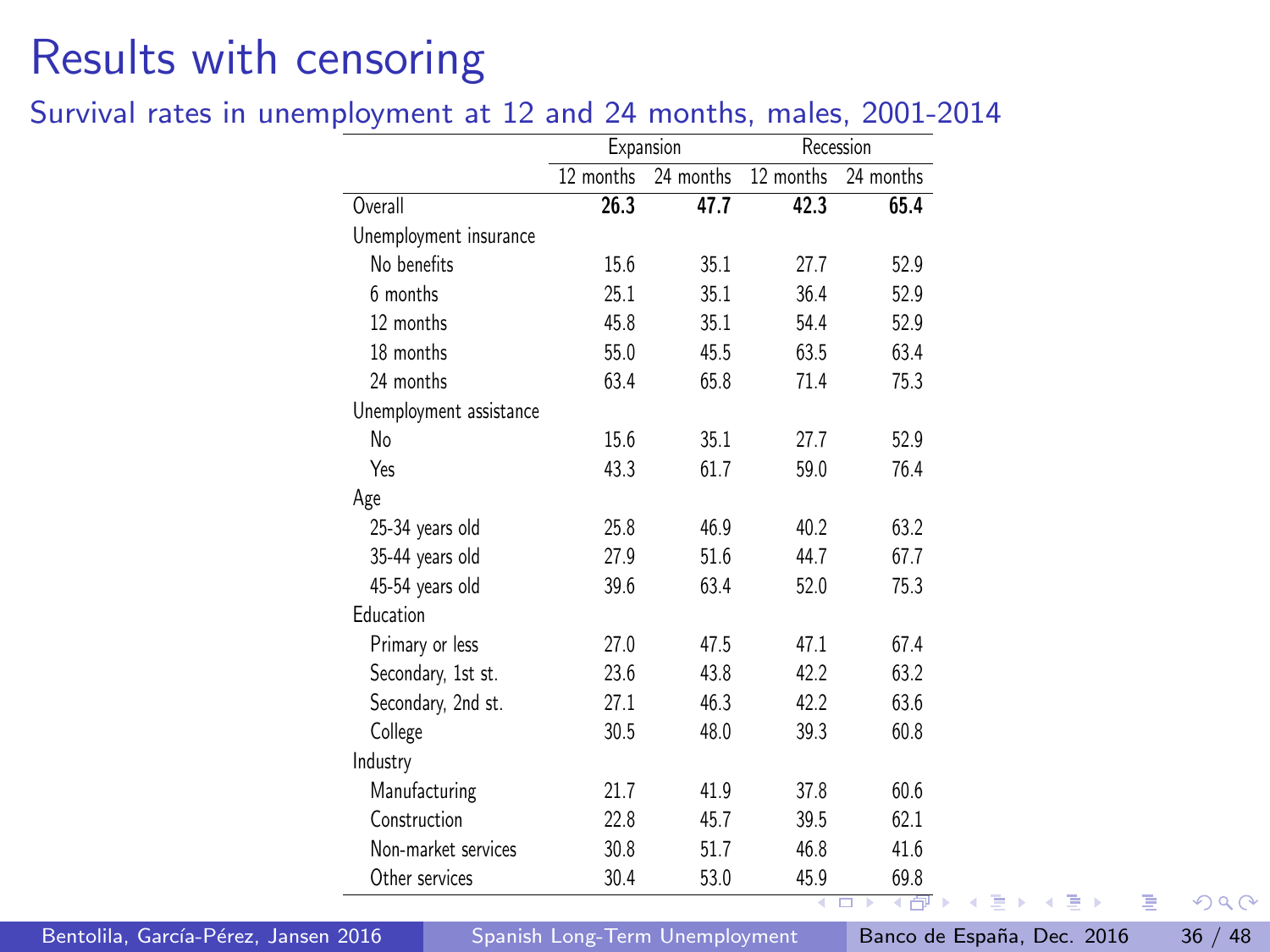#### <span id="page-35-0"></span>Survival rates in unemployment at 12 and 24 months, males, 2001-2014

|                         |           | Expansion |           | Recession              |
|-------------------------|-----------|-----------|-----------|------------------------|
|                         | 12 months | 24 months | 12 months | $\overline{24}$ months |
| Overall                 | 26.3      | 47.7      | 42.3      | 65.4                   |
| Unemployment insurance  |           |           |           |                        |
| No benefits             | 15.6      | 35.1      | 27.7      | 52.9                   |
| 6 months                | 25.1      | 35.1      | 36.4      | 52.9                   |
| 12 months               | 45.8      | 35.1      | 54.4      | 52.9                   |
| 18 months               | 55.0      | 45.5      | 63.5      | 63.4                   |
| 24 months               | 63.4      | 65.8      | 71.4      | 75.3                   |
| Unemployment assistance |           |           |           |                        |
| No                      | 15.6      | 35.1      | 27.7      | 52.9                   |
| Yes                     | 43.3      | 61.7      | 59.0      | 76.4                   |
| Age                     |           |           |           |                        |
| 25-34 years old         | 25.8      | 46.9      | 40.2      | 63.2                   |
| 35-44 years old         | 27.9      | 51.6      | 44.7      | 67.7                   |
| 45-54 years old         | 39.6      | 63.4      | 52.0      | 75.3                   |
| Education               |           |           |           |                        |
| Primary or less         | 27.0      | 47.5      | 47.1      | 67.4                   |
| Secondary, 1st st.      | 23.6      | 43.8      | 42.2      | 63.2                   |
| Secondary, 2nd st.      | 27.1      | 46.3      | 42.2      | 63.6                   |
| College                 | 30.5      | 48.0      | 39.3      | 60.8                   |
| Industry                |           |           |           |                        |
| Manufacturing           | 21.7      | 41.9      | 37.8      | 60.6                   |
| Construction            | 22.8      | 45.7      | 39.5      | 62.1                   |
| Non-market services     | 30.8      | 51.7      | 46.8      | 41.6                   |
| Other services          | 30.4      | 53.0      | 45.9      | 69.8<br><b>ANTI</b>    |

Bentolila, García-Pérez, Jansen 2016 [Spanish Long-Term Unemployment](#page-0-0) Banco de España, Dec. 2016 36 / 48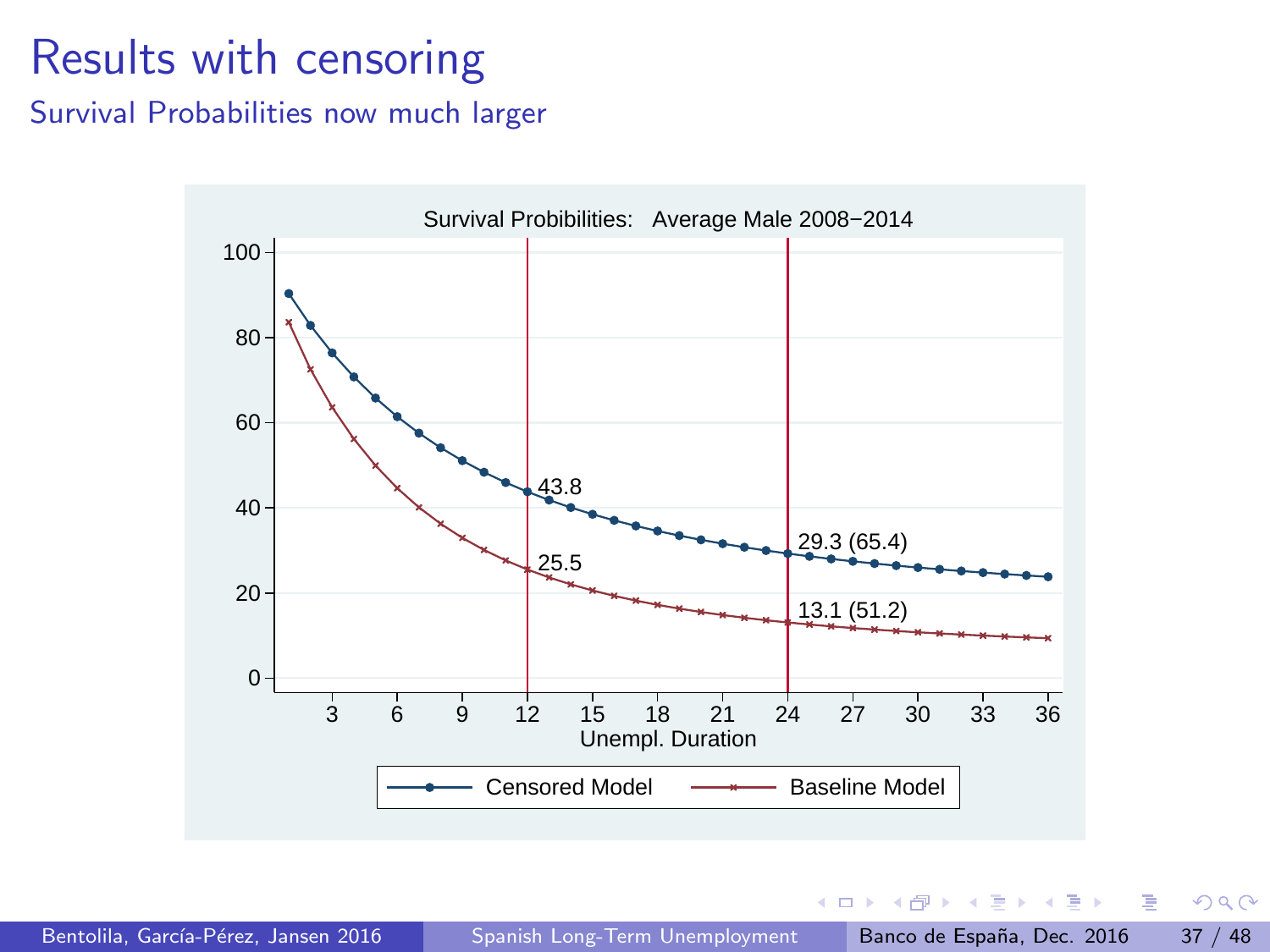<span id="page-36-0"></span>Survival Probabilities now much larger



 $\leftarrow$ 

Þ

 $\,$ 

医单位 医单位

 $QQ$ 

画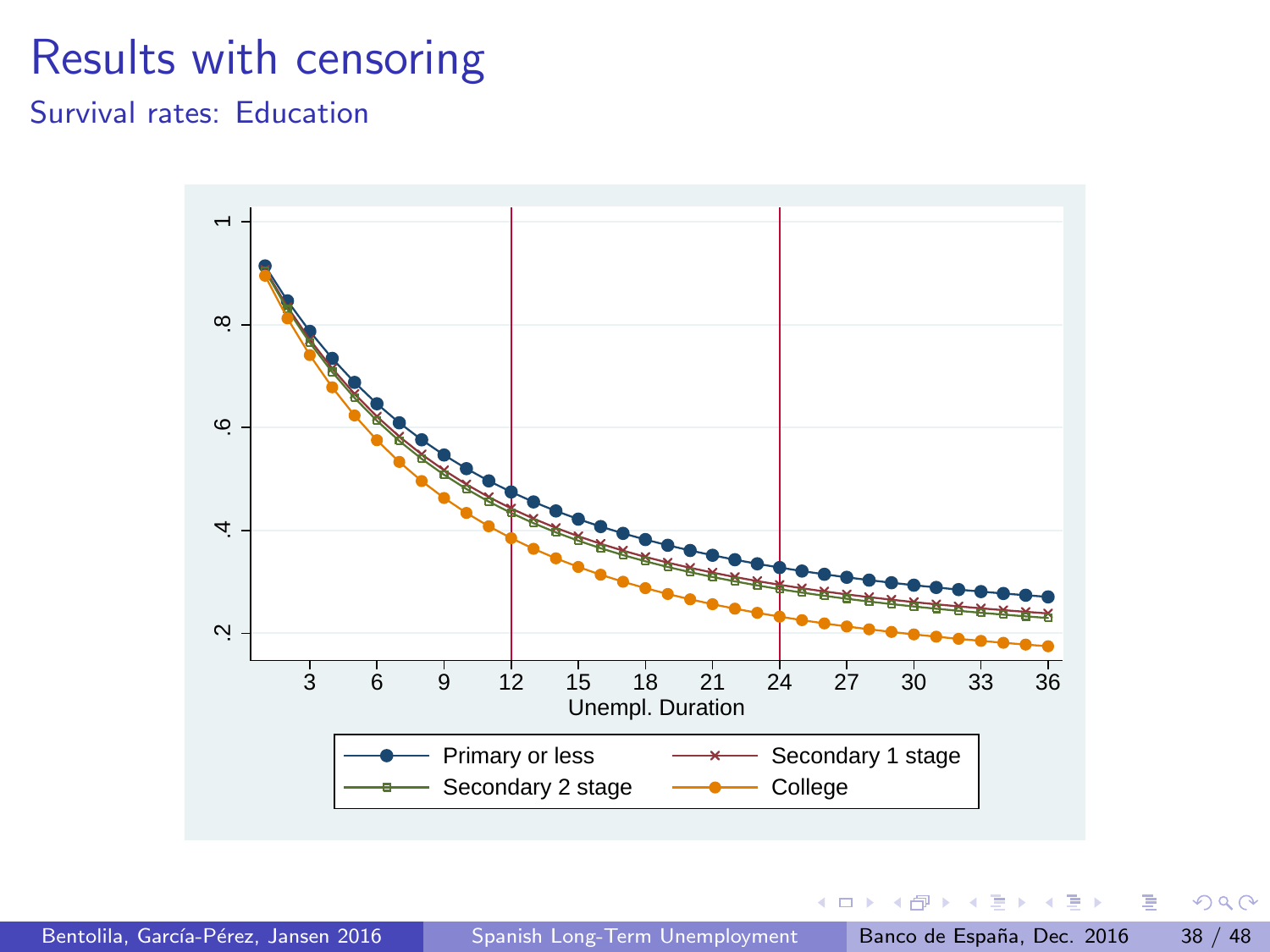Survival rates: Education



 $\leftarrow$ 

**D** 41 市 × 14.  $QQ$ 

画

ほん メラメ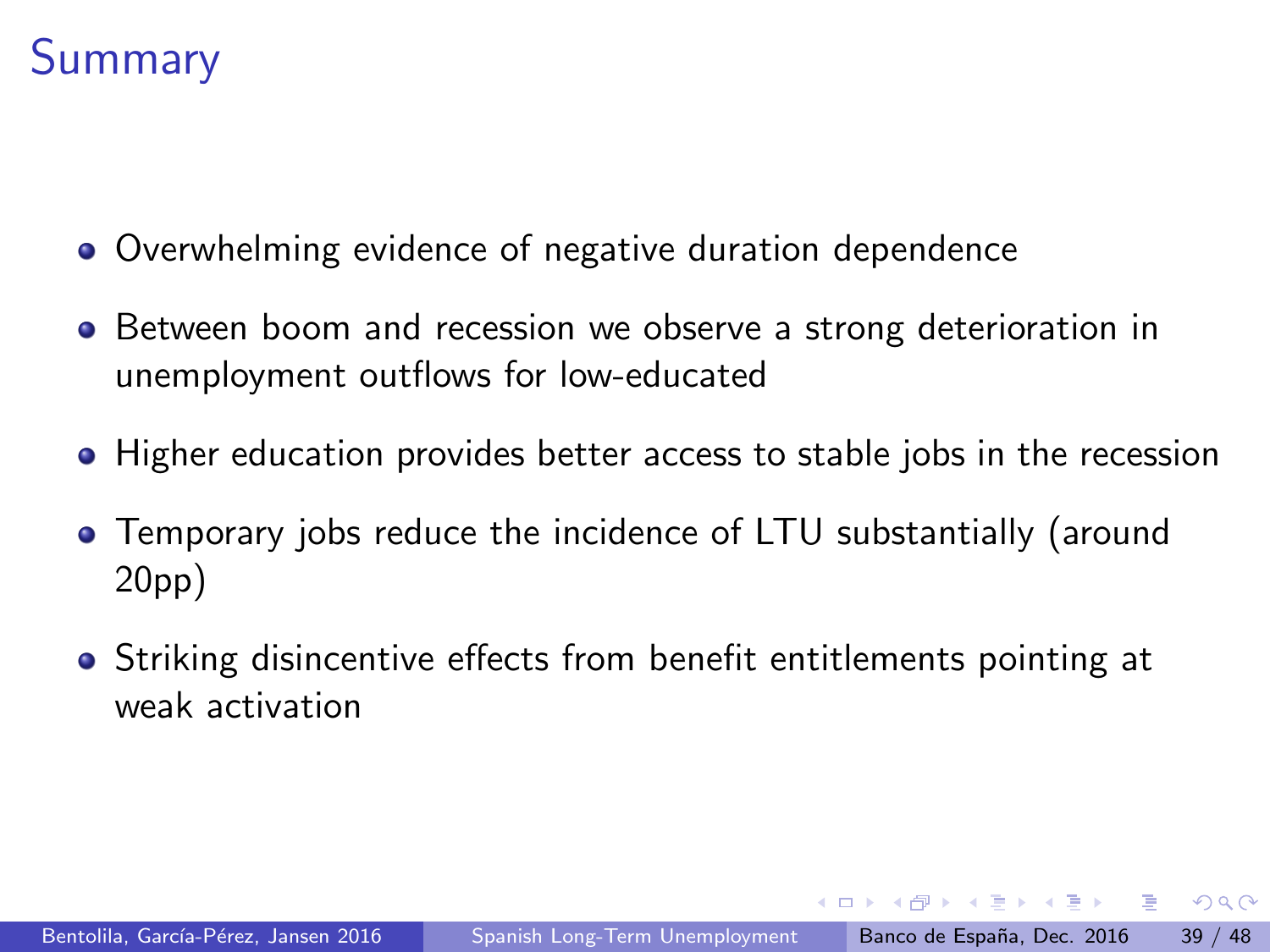## **Summary**

- Overwhelming evidence of negative duration dependence
- **•** Between boom and recession we observe a strong deterioration in unemployment outflows for low-educated
- Higher education provides better access to stable jobs in the recession
- Temporary jobs reduce the incidence of LTU substantially (around 20pp)
- Striking disincentive effects from benefit entitlements pointing at weak activation

医毛囊 医牙骨下的

 $\Omega$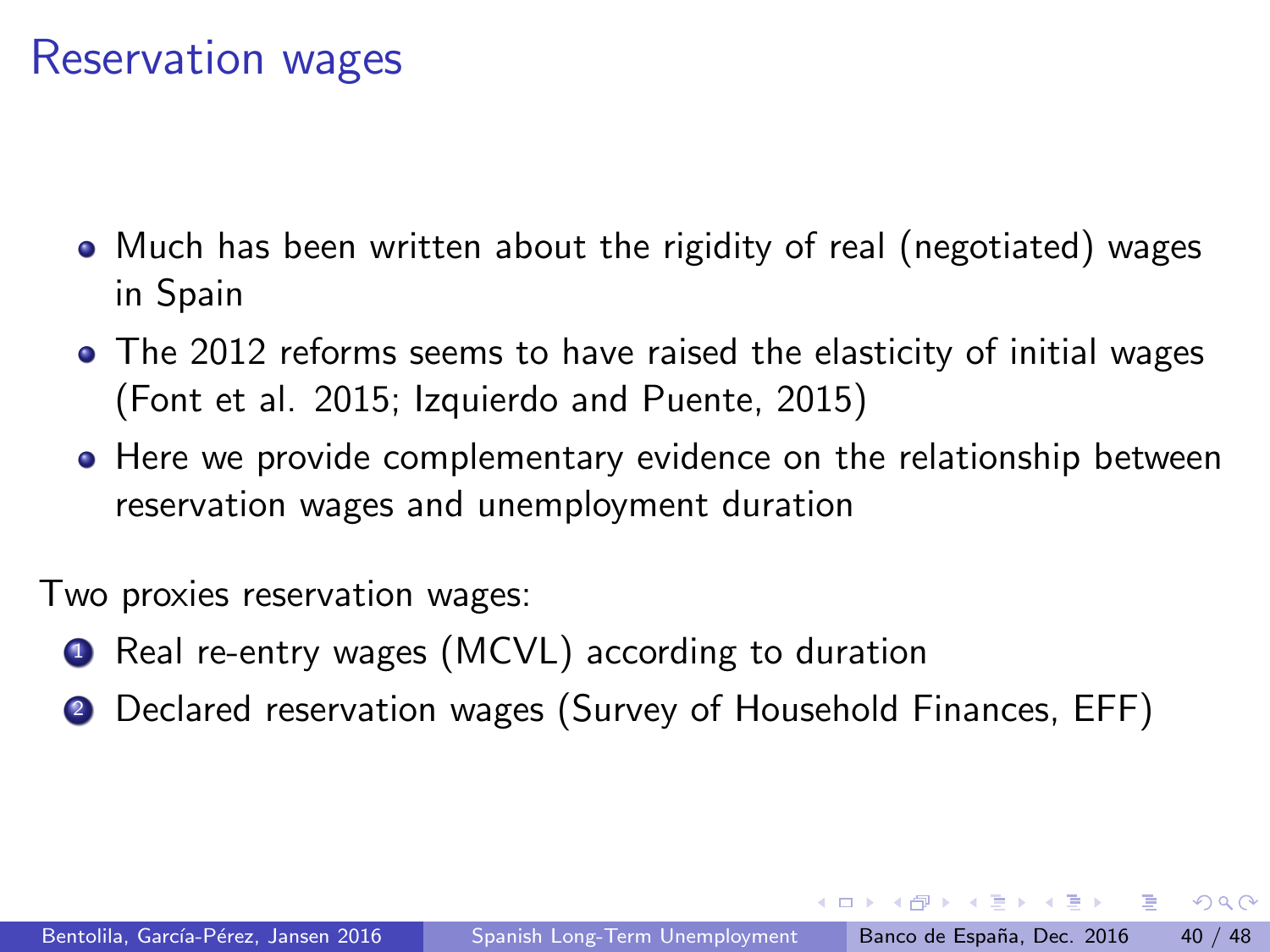## Reservation wages

- Much has been written about the rigidity of real (negotiated) wages in Spain
- The 2012 reforms seems to have raised the elasticity of initial wages (Font et al. 2015; Izquierdo and Puente, 2015)
- Here we provide complementary evidence on the relationship between reservation wages and unemployment duration

Two proxies reservation wages:

- **1** Real re-entry wages (MCVL) according to duration
- <sup>2</sup> Declared reservation wages (Survey of Household Finances, EFF)

 $\Omega$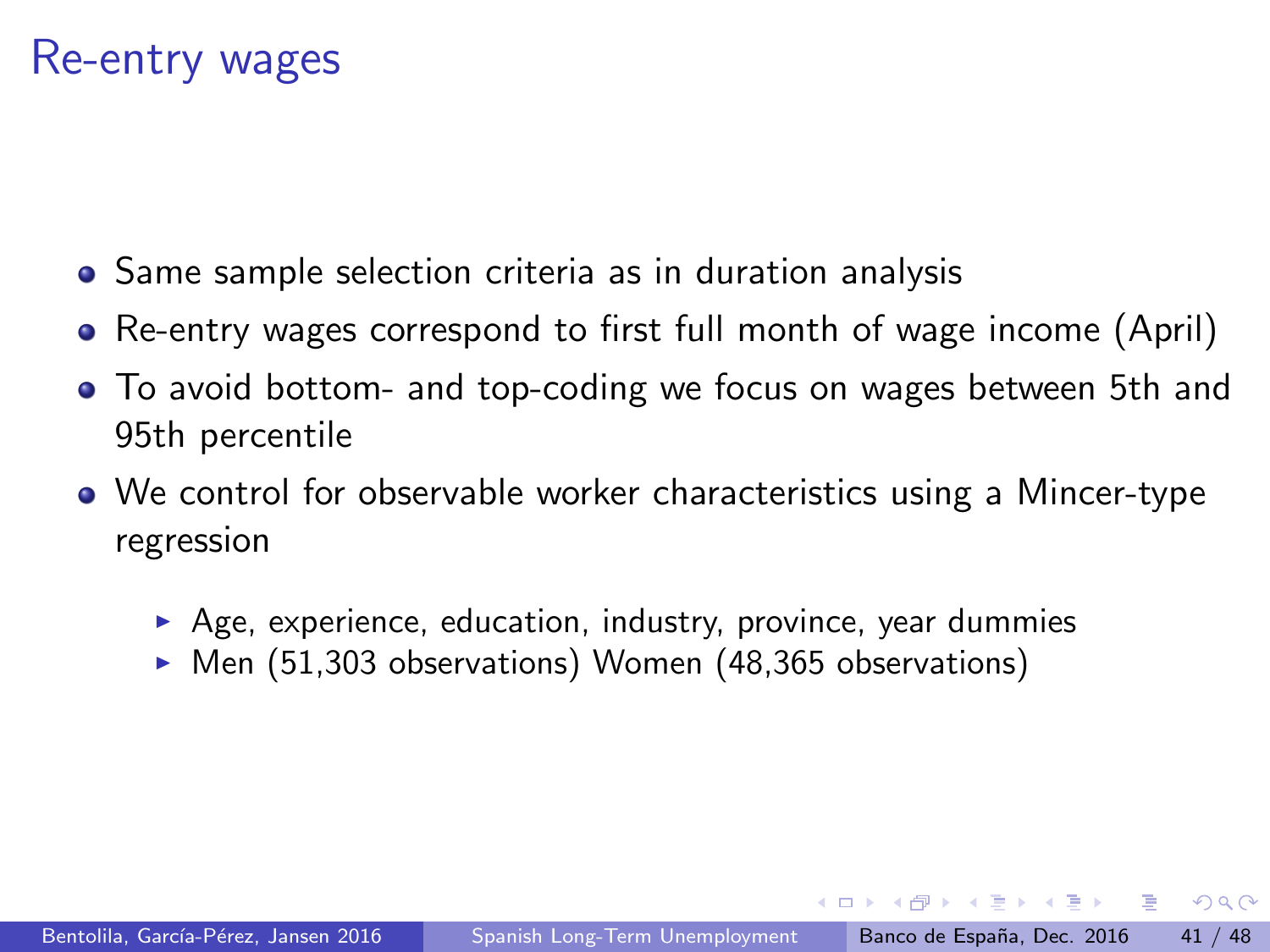### Re-entry wages

- Same sample selection criteria as in duration analysis
- Re-entry wages correspond to first full month of wage income (April)
- To avoid bottom- and top-coding we focus on wages between 5th and 95th percentile
- We control for observable worker characteristics using a Mincer-type regression
	- $\triangleright$  Age, experience, education, industry, province, year dummies
	- $\triangleright$  Men (51,303 observations) Women (48,365 observations)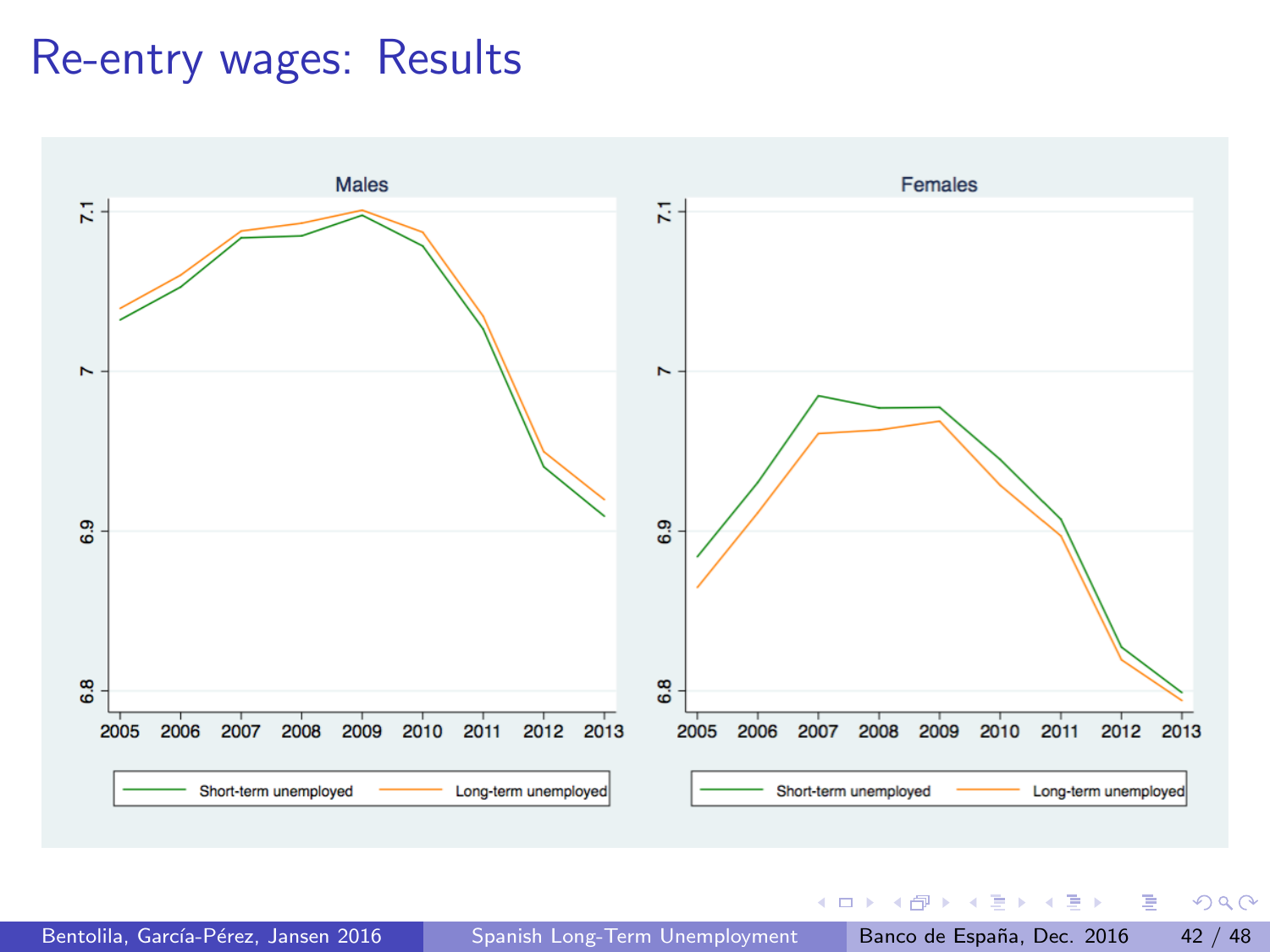### Re-entry wages: Results



Bentolila, García-Pérez, Jansen 2016 [Spanish Long-Term Unemployment](#page-0-0) Banco de España, Dec. 2016 42 / 48

 $\Omega$ G.

**K ロ ト K 御 ト K 澄 ト K 差 ト**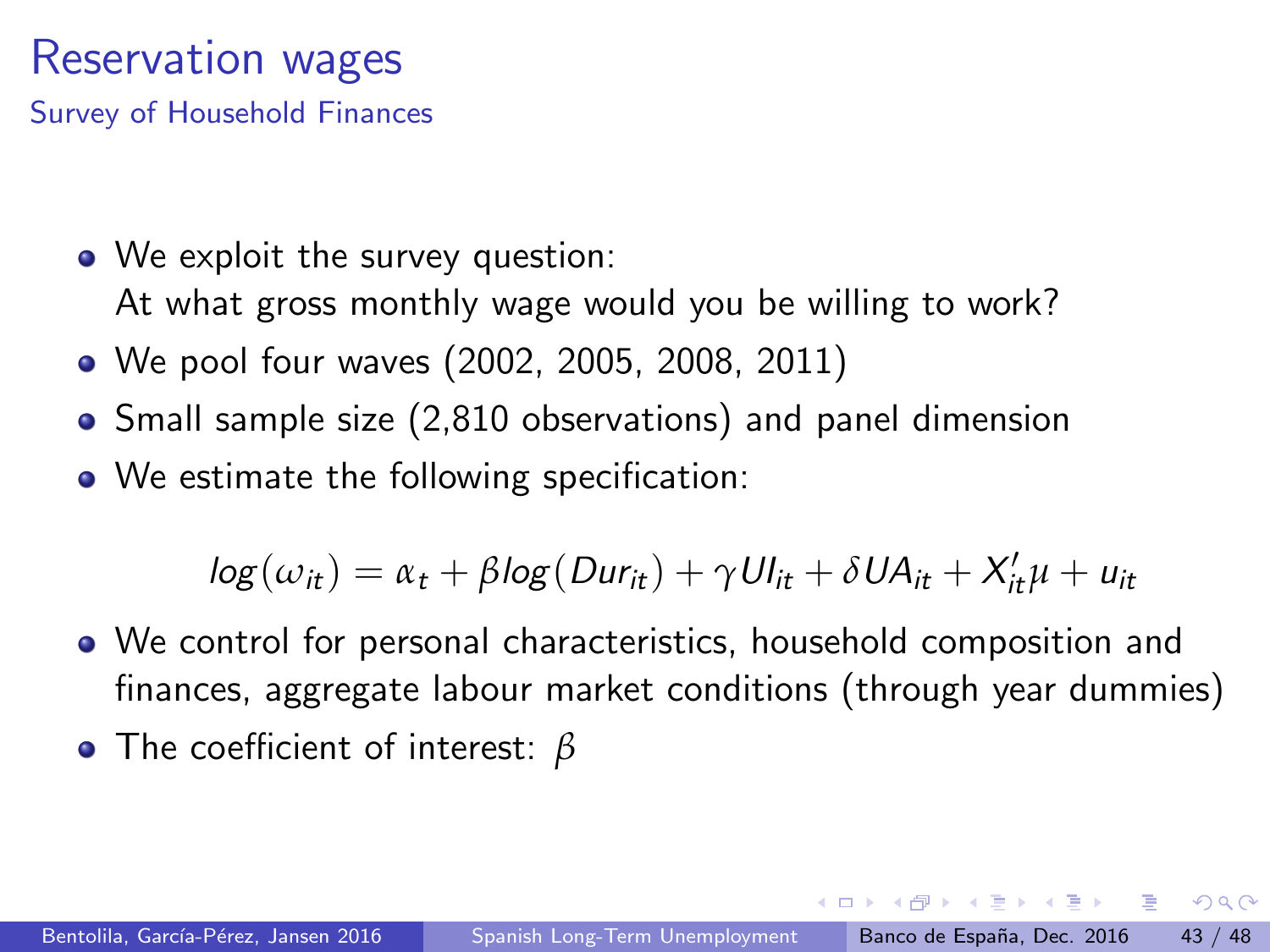## <span id="page-42-0"></span>Reservation wages

Survey of Household Finances

- We exploit the survey question: At what gross monthly wage would you be willing to work?
- We pool four waves (2002, 2005, 2008, 2011)
- Small sample size (2,810 observations) and panel dimension
- We estimate the following specification:

 $log(\omega_{it}) = \alpha_t + \beta log(Dur_{it}) + \gamma Ul_{it} + \delta UA_{it} + X'_{it}\mu + u_{it}$ 

- We control for personal characteristics, household composition and finances, aggregate labour market conditions (through year dummies)
- The coefficient of interest: *β*

 $\Omega$ 

イ押 トイヨ トイヨ トーヨー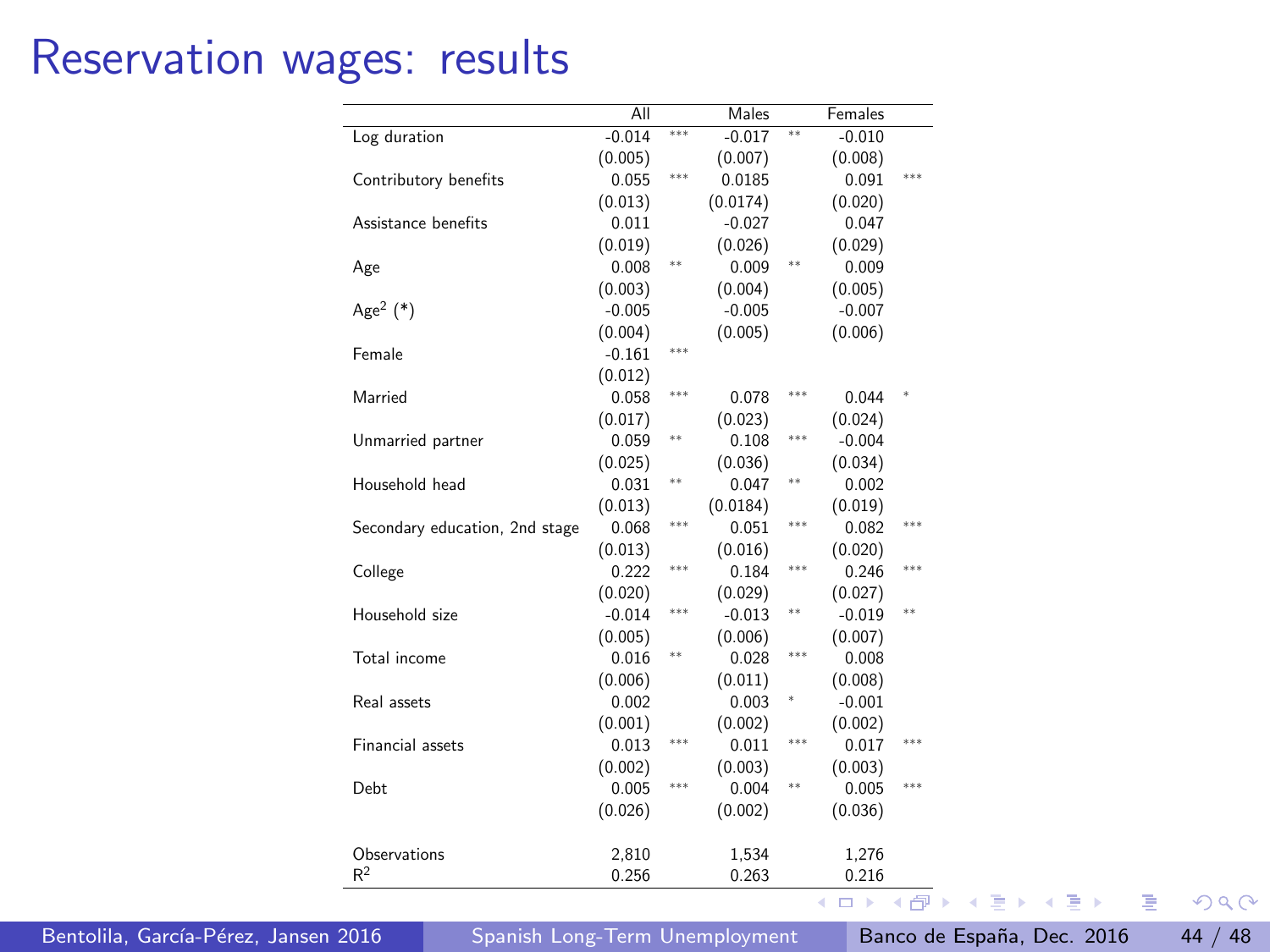## Reservation wages: results

|                                | All      |     | Males    |         | Females     |        |
|--------------------------------|----------|-----|----------|---------|-------------|--------|
| Log duration                   | $-0.014$ | *** | $-0.017$ | $^{88}$ | $-0.010$    |        |
|                                | (0.005)  |     | (0.007)  |         | (0.008)     |        |
| Contributory benefits          | 0.055    | *** | 0.0185   |         | 0.091       | ***    |
|                                | (0.013)  |     | (0.0174) |         | (0.020)     |        |
| Assistance benefits            | 0.011    |     | $-0.027$ |         | 0.047       |        |
|                                | (0.019)  |     | (0.026)  |         | (0.029)     |        |
| Age                            | 0.008    | **  | 0.009    | 88      | 0.009       |        |
|                                | (0.003)  |     | (0.004)  |         | (0.005)     |        |
| Age <sup>2</sup> $(*)$         | $-0.005$ |     | $-0.005$ |         | $-0.007$    |        |
|                                | (0.004)  |     | (0.005)  |         | (0.006)     |        |
| Female                         | $-0.161$ | *** |          |         |             |        |
|                                | (0.012)  |     |          |         |             |        |
| Married                        | 0.058    | *** | 0.078    | 888     | 0.044       | $\ast$ |
|                                | (0.017)  |     | (0.023)  |         | (0.024)     |        |
| Unmarried partner              | 0.059    | **  | 0.108    | ***     | $-0.004$    |        |
|                                | (0.025)  |     | (0.036)  |         | (0.034)     |        |
| Household head                 | 0.031    | **  | 0.047    | **      | 0.002       |        |
|                                | (0.013)  |     | (0.0184) |         | (0.019)     |        |
| Secondary education, 2nd stage | 0.068    | *** | 0.051    | ***     | 0.082       | ***    |
|                                | (0.013)  |     | (0.016)  |         | (0.020)     |        |
| College                        | 0.222    | *** | 0.184    | ***     | 0.246       | ***    |
|                                | (0.020)  |     | (0.029)  |         | (0.027)     |        |
| Household size                 | $-0.014$ | *** | $-0.013$ | 88      | $-0.019$    | $***$  |
|                                | (0.005)  |     | (0.006)  |         | (0.007)     |        |
| Total income                   | 0.016    | **  | 0.028    | ***     | 0.008       |        |
|                                | (0.006)  |     | (0.011)  |         | (0.008)     |        |
| Real assets                    | 0.002    |     | 0.003    | ×       | $-0.001$    |        |
|                                | (0.001)  |     | (0.002)  |         | (0.002)     |        |
| Financial assets               | 0.013    | *** | 0.011    | ***     | 0.017       | ***    |
|                                | (0.002)  |     | (0.003)  |         | (0.003)     |        |
| Debt                           | 0.005    | *** | 0.004    | **      | 0.005       | ***    |
|                                | (0.026)  |     | (0.002)  |         | (0.036)     |        |
|                                |          |     |          |         |             |        |
| Observations                   | 2,810    |     | 1,534    |         | 1,276       |        |
| R <sup>2</sup>                 | 0.256    |     | 0.263    |         | 0.216       |        |
|                                |          |     |          |         | $\Box$<br>۰ | Æ      |

Bentolila, García-Pérez, Jansen 2016 [Spanish Long-Term Unemployment](#page-0-0) Banco de España, Dec. 2016 44 / 48

 $299$ 

画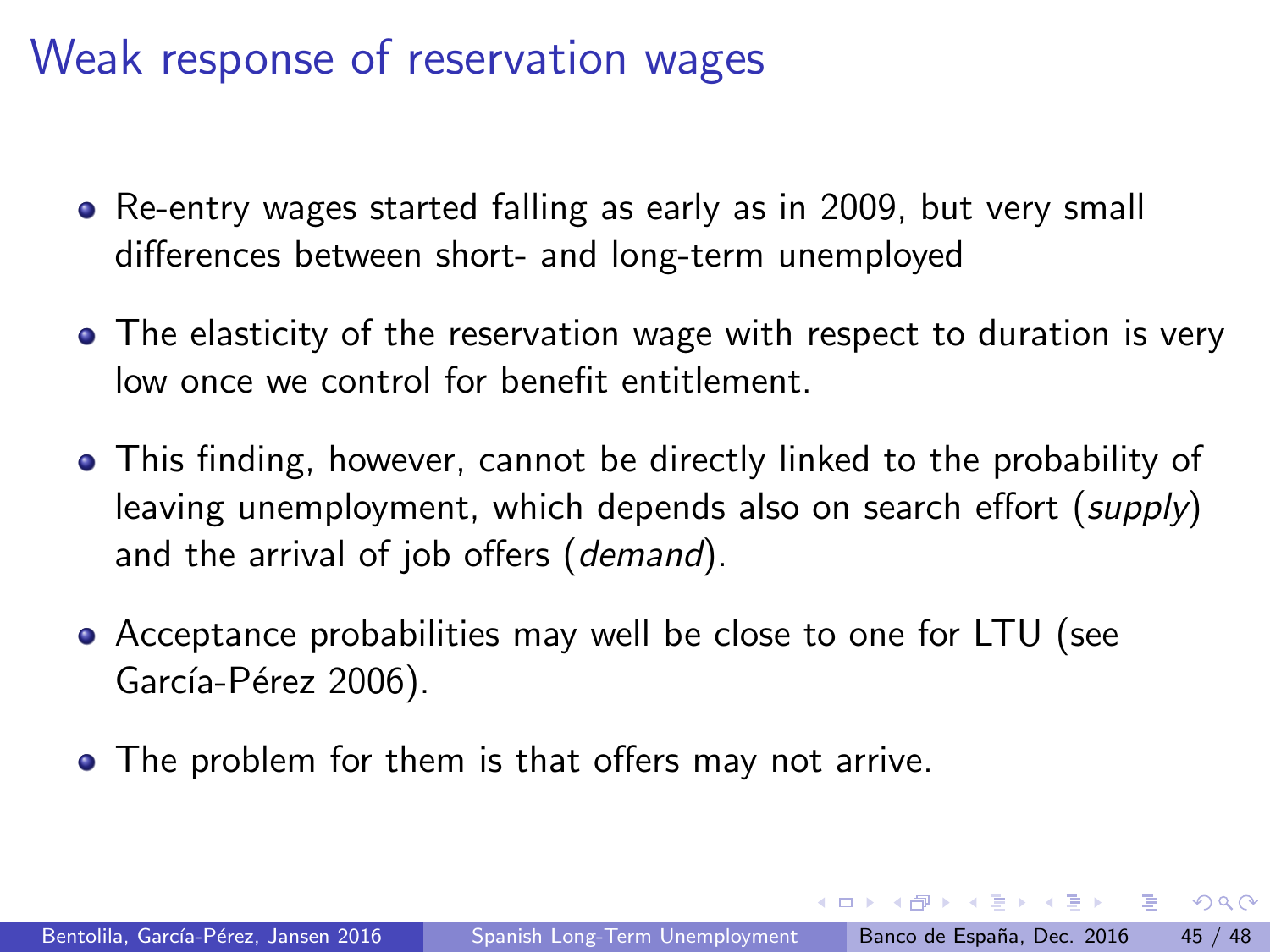## <span id="page-44-0"></span>Weak response of reservation wages

- Re-entry wages started falling as early as in 2009, but very small differences between short- and long-term unemployed
- The elasticity of the reservation wage with respect to duration is very low once we control for benefit entitlement.
- This finding, however, cannot be directly linked to the probability of leaving unemployment, which depends also on search effort (supply) and the arrival of job offers (demand).
- Acceptance probabilities may well be close to one for LTU (see García-Pérez 2006).
- The problem for them is that offers may not arrive.

医毛囊 医牙骨下的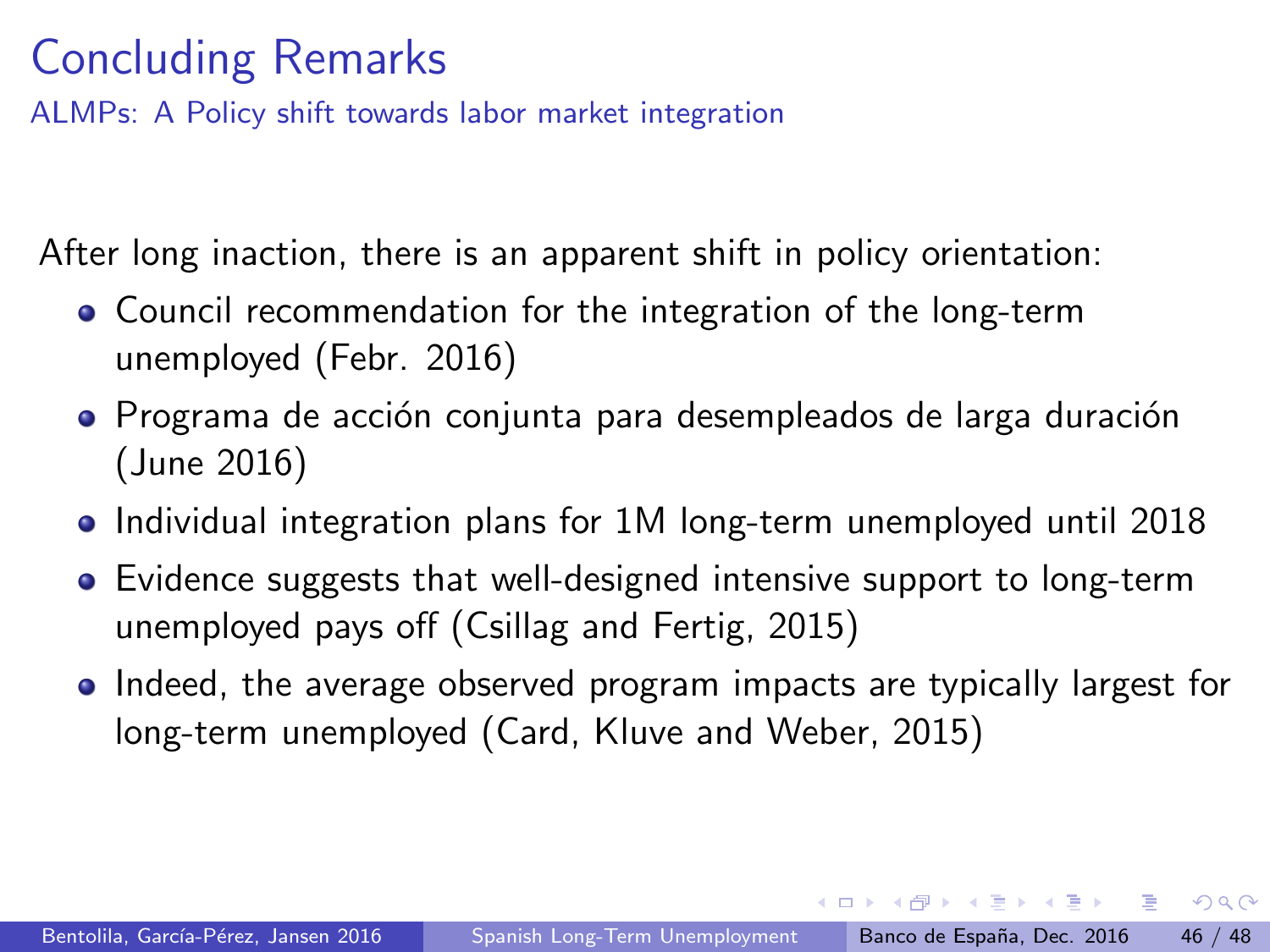# Concluding Remarks

ALMPs: A Policy shift towards labor market integration

After long inaction, there is an apparent shift in policy orientation:

- Council recommendation for the integration of the long-term unemployed (Febr. 2016)
- $\bullet$  Programa de acción conjunta para desempleados de larga duración (June 2016)
- Individual integration plans for 1M long-term unemployed until 2018
- Evidence suggests that well-designed intensive support to long-term unemployed pays off (Csillag and Fertig, 2015)
- Indeed, the average observed program impacts are typically largest for long-term unemployed (Card, Kluve and Weber, 2015)

4 D F

 $\mathcal{A}(\overline{\mathcal{A}}) \rightarrow \mathcal{A}(\mathbb{B}) \rightarrow \mathcal{A}(\mathbb{B}) \rightarrow \mathbb{B}$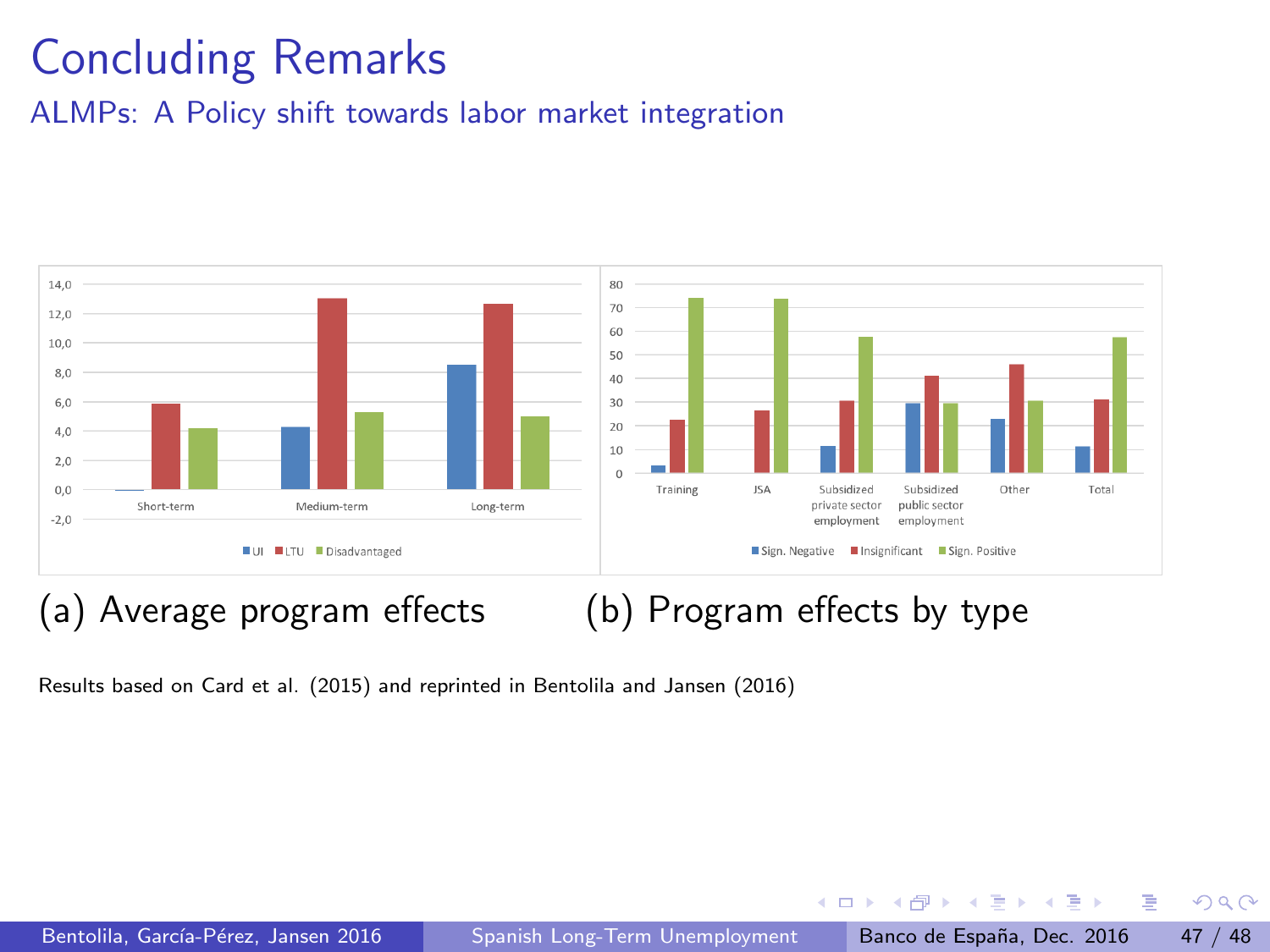# Concluding Remarks

ALMPs: A Policy shift towards labor market integration



#### (a) Average program effects (b) Program effects by type

Results based on Card et al. (2015) and reprinted in Bentolila and Jansen (2016)

4 日下